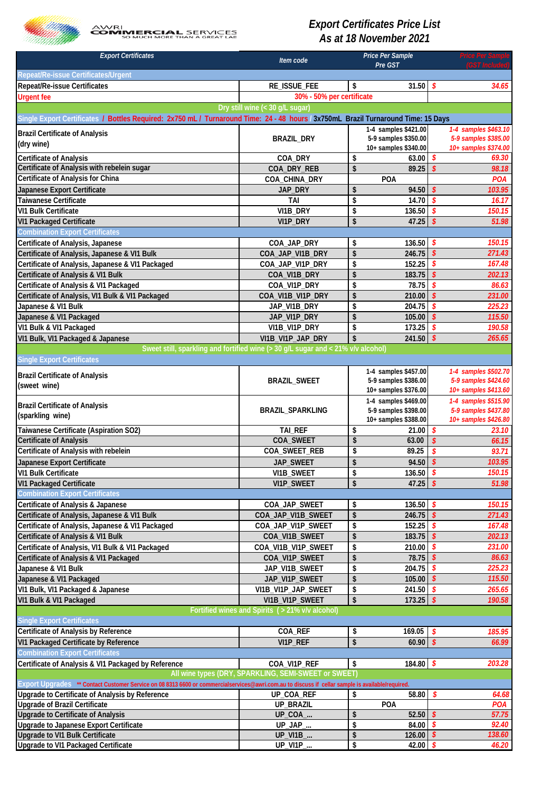

## *Export Certificates Price List As at 18 November 2021*

| <b>Export Certificates</b>                                                                                                                       | Item code                                                                        |          | Price Per Sample                             | <b>Price Per Sal</b><br>(GST Included) |                                              |  |
|--------------------------------------------------------------------------------------------------------------------------------------------------|----------------------------------------------------------------------------------|----------|----------------------------------------------|----------------------------------------|----------------------------------------------|--|
| Repeat/Re-issue Certificates/Urgent                                                                                                              |                                                                                  |          | Pre GST                                      |                                        |                                              |  |
| Repeat/Re-issue Certificates                                                                                                                     | RE_ISSUE_FEE                                                                     | \$       | 31.50                                        | \$                                     | 34.65                                        |  |
| <b>Urgent fee</b>                                                                                                                                | 30% - 50% per certificate                                                        |          |                                              |                                        |                                              |  |
|                                                                                                                                                  | Dry still wine (< 30 g/L sugar)                                                  |          |                                              |                                        |                                              |  |
| Single Export Certificates / Bottl <mark>es Required: 2x750 mL/ Turnaround Time: 24 - 48 hours / 3x750mL Brazil Turnaround Time: 15 Days</mark>  |                                                                                  |          |                                              |                                        |                                              |  |
| <b>Brazil Certificate of Analysis</b>                                                                                                            |                                                                                  |          | 1-4 samples \$421.00                         |                                        | 1-4 samples \$463.10                         |  |
| (dry wine)                                                                                                                                       | <b>BRAZIL_DRY</b>                                                                |          | 5-9 samples \$350.00                         |                                        | 5-9 samples \$385.00                         |  |
|                                                                                                                                                  |                                                                                  |          | 10+ samples \$340.00                         |                                        | 10+ samples \$374.00                         |  |
| <b>Certificate of Analysis</b><br>Certificate of Analysis with rebelein sugar                                                                    | COA_DRY<br>COA_DRY_REB                                                           | \$<br>\$ | 63.00<br>89.25                               | \$<br>$\boldsymbol{\mathsf{s}}$        | 69.30<br>98.18                               |  |
| Certificate of Analysis for China                                                                                                                | COA_CHINA_DRY                                                                    |          | POA                                          |                                        | POA                                          |  |
| Japanese Export Certificate                                                                                                                      | JAP_DRY                                                                          | \$       | 94.50                                        | $\boldsymbol{\mathcal{S}}$             | 103.95                                       |  |
| Taiwanese Certificate                                                                                                                            | <b>TAI</b>                                                                       | \$       | 14.70                                        | \$                                     | 16.17                                        |  |
| <b>VI1 Bulk Certificate</b>                                                                                                                      | VI1B_DRY                                                                         | \$       | 136.50                                       | \$                                     | 150.15                                       |  |
| <b>VI1 Packaged Certificate</b>                                                                                                                  | VI1P_DRY                                                                         | \$       | 47.25                                        | \$                                     | 51.98                                        |  |
| <b>Combination Export Certificates</b>                                                                                                           |                                                                                  |          |                                              |                                        |                                              |  |
| Certificate of Analysis, Japanese                                                                                                                | COA_JAP_DRY                                                                      | \$       | 136.50                                       | -\$                                    | 150.15                                       |  |
| Certificate of Analysis, Japanese & VI1 Bulk                                                                                                     | COA_JAP_VI1B_DRY                                                                 | \$       | 246.75                                       | $\mathbf{\hat{s}}$                     | 271.43                                       |  |
| Certificate of Analysis, Japanese & VI1 Packaged                                                                                                 | COA_JAP_VI1P_DRY                                                                 | \$       | 152.25                                       | \$                                     | 167.48                                       |  |
| Certificate of Analysis & VI1 Bulk                                                                                                               | COA_VI1B_DRY                                                                     | \$       | 183.75                                       | $\boldsymbol{\mathsf{s}}$              | 202.13                                       |  |
| Certificate of Analysis & VI1 Packaged                                                                                                           | COA_VI1P_DRY                                                                     | \$       | 78.75                                        | \$                                     | 86.63                                        |  |
| Certificate of Analysis, VI1 Bulk & VI1 Packaged                                                                                                 | COA_VI1B_VI1P_DRY                                                                | \$       | 210.00                                       | $\mathbf{\hat{s}}$                     | 231.00                                       |  |
| Japanese & VI1 Bulk                                                                                                                              | JAP_VI1B_DRY                                                                     | \$       | 204.75                                       | \$                                     | 225.23                                       |  |
| Japanese & VI1 Packaged                                                                                                                          | JAP_VI1P_DRY                                                                     | \$       | 105.00                                       | \$                                     | 115.50                                       |  |
| VI1 Bulk & VI1 Packaged                                                                                                                          | VI1B_VI1P_DRY                                                                    | \$       | 173.25                                       | \$                                     | 190.58                                       |  |
| VI1 Bulk, VI1 Packaged & Japanese                                                                                                                | VI1B_VI1P_JAP_DRY                                                                | \$       | 241.50                                       | $\mathbf{\hat{s}}$                     | 265.65                                       |  |
|                                                                                                                                                  | Sweet still, sparkling and fortified wine (> 30 g/L sugar and < 21% v/v alcohol) |          |                                              |                                        |                                              |  |
| <b>Single Export Certificates</b>                                                                                                                |                                                                                  |          |                                              |                                        |                                              |  |
| <b>Brazil Certificate of Analysis</b>                                                                                                            | <b>BRAZIL_SWEET</b>                                                              |          | 1-4 samples \$457.00<br>5-9 samples \$386.00 |                                        | 1-4 samples \$502.70<br>5-9 samples \$424.60 |  |
| (sweet wine)                                                                                                                                     |                                                                                  |          | 10+ samples \$376.00                         |                                        | 10+ samples \$413.60                         |  |
|                                                                                                                                                  |                                                                                  |          | 1-4 samples \$469.00                         |                                        | 1-4 samples \$515.90                         |  |
| <b>Brazil Certificate of Analysis</b><br>(sparkling wine)                                                                                        | BRAZIL_SPARKLING                                                                 |          | 5-9 samples \$398.00                         |                                        | 5-9 samples \$437.80                         |  |
|                                                                                                                                                  |                                                                                  |          | 10+ samples \$388.00                         |                                        | 10+ samples \$426.80                         |  |
| Taiwanese Certificate (Aspiration SO2)                                                                                                           | <b>TAI_REF</b>                                                                   | \$       | 21.00                                        | \$                                     | 23.10                                        |  |
| <b>Certificate of Analysis</b>                                                                                                                   | COA_SWEET                                                                        | \$       | 63.00                                        | \$                                     | 66.15                                        |  |
| Certificate of Analysis with rebelein                                                                                                            | COA_SWEET_REB                                                                    | \$       | 89.25                                        | \$                                     | 93.71                                        |  |
| Japanese Export Certificate                                                                                                                      | JAP_SWEET                                                                        | \$       | 94.50                                        | $\mathbf{\hat{s}}$                     | 103.95                                       |  |
| VI1 Bulk Certificate                                                                                                                             | VI1B_SWEET                                                                       | \$<br>\$ | 136.50 $$$                                   | s.                                     | 150.15<br>51.98                              |  |
| <b>VI1 Packaged Certificate</b><br><b>Combination Export Certificates</b>                                                                        | VI1P_SWEET                                                                       |          | 47.25                                        |                                        |                                              |  |
| Certificate of Analysis & Japanese                                                                                                               | COA_JAP_SWEET                                                                    | \$       | 136.50                                       | S.                                     | 150.15                                       |  |
| Certificate of Analysis, Japanese & VI1 Bulk                                                                                                     | COA_JAP_VI1B_SWEET                                                               | \$       | 246.75                                       | $\mathbf{\hat{S}}$                     | 271.43                                       |  |
| Certificate of Analysis, Japanese & VI1 Packaged                                                                                                 | COA_JAP_VI1P_SWEET                                                               | \$       | 152.25                                       | S                                      | 167.48                                       |  |
| Certificate of Analysis & VI1 Bulk                                                                                                               | COA_VI1B_SWEET                                                                   | \$       | 183.75                                       | \$                                     | 202.13                                       |  |
| Certificate of Analysis, VI1 Bulk & VI1 Packaged                                                                                                 | COA_VI1B_VI1P_SWEET                                                              | \$       | 210.00                                       | \$                                     | 231.00                                       |  |
| Certificate of Analysis & VI1 Packaged                                                                                                           | COA_VI1P_SWEET                                                                   | \$       | 78.75                                        | $\boldsymbol{\mathsf{s}}$              | 86.63                                        |  |
| Japanese & VI1 Bulk                                                                                                                              | JAP_VI1B_SWEET                                                                   | \$       | 204.75                                       | \$                                     | 225.23                                       |  |
| Japanese & VI1 Packaged                                                                                                                          | JAP_VI1P_SWEET                                                                   | \$       | 105.00                                       | $\mathbf{\hat{S}}$                     | 115.50                                       |  |
| VI1 Bulk, VI1 Packaged & Japanese                                                                                                                | VI1B_VI1P_JAP_SWEET                                                              | \$       | 241.50                                       | $\boldsymbol{s}$                       | 265.65                                       |  |
| VI1 Bulk & VI1 Packaged                                                                                                                          | VI1B_VI1P_SWEET                                                                  | \$       | 173.25                                       | $\boldsymbol{\mathsf{s}}$              | 190.58                                       |  |
|                                                                                                                                                  | Fortified wines and Spirits ( > 21% v/v alcohol)                                 |          |                                              |                                        |                                              |  |
| <b>Single Export Certificates</b>                                                                                                                |                                                                                  |          |                                              |                                        |                                              |  |
| Certificate of Analysis by Reference                                                                                                             | COA_REF                                                                          | \$       | 169.05                                       | \$                                     | 185.95                                       |  |
| VI1 Packaged Certificate by Reference                                                                                                            | VI1P_REF                                                                         | \$       | 60.90                                        | $\mathbf{\hat{S}}$                     | 66.99                                        |  |
| <b>Combination Export Certificates</b>                                                                                                           |                                                                                  |          |                                              |                                        |                                              |  |
| Certificate of Analysis & VI1 Packaged by Reference                                                                                              | COA_VI1P_REF<br>All wine types (DRY, SPARKLING, SEMI-SWEET or SWEET)             | \$       | 184.80 \$                                    |                                        | 203.28                                       |  |
| Export Upgrades ** Contact Customer Service on 08 8313 6600 or commercialservices@awri.com.au to discuss if cellar sample is available/required. |                                                                                  |          |                                              |                                        |                                              |  |
| Upgrade to Certificate of Analysis by Reference                                                                                                  | UP_COA_REF                                                                       | \$       | 58.80                                        | \$                                     | 64.68                                        |  |
| <b>Upgrade of Brazil Certificate</b>                                                                                                             | UP_BRAZIL                                                                        |          | POA                                          |                                        | POA                                          |  |
| <b>Upgrade to Certificate of Analysis</b>                                                                                                        | UP_COA_                                                                          | \$       | 52.50                                        | $\mathbf{\hat{S}}$                     | 57.75                                        |  |
| Upgrade to Japanese Export Certificate                                                                                                           | $UP$ _JAP_                                                                       | \$       | 84.00 $$$                                    |                                        | 92.40                                        |  |
| Upgrade to VI1 Bulk Certificate                                                                                                                  | <b>UP_VI1B_</b>                                                                  | \$       | $126.00$ \$                                  |                                        | 138.60                                       |  |
| Upgrade to VI1 Packaged Certificate                                                                                                              | UP_VI1P_                                                                         | \$       | 42.00                                        | \$                                     | 46.20                                        |  |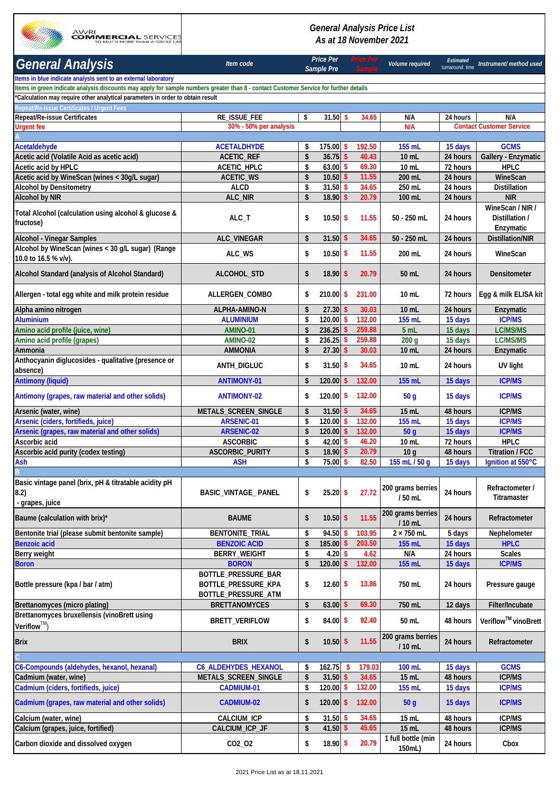

## *General Analysis Price List As at 18 November 2021*

| <b>General Analysis</b>                                                                                                               | Item code                                                         |          | <b>Price Per</b><br>Sample Pre |               |                  | Volume required                       | <b>Estimated</b><br>turnaround time | Instrument/ method used                         |
|---------------------------------------------------------------------------------------------------------------------------------------|-------------------------------------------------------------------|----------|--------------------------------|---------------|------------------|---------------------------------------|-------------------------------------|-------------------------------------------------|
| Items in blue indicate analysis sent to an external laboratory                                                                        |                                                                   |          |                                |               |                  |                                       |                                     |                                                 |
| Items in green indicate analysis discounts may apply for sample numbers greater than 8 - contact Customer Service for further details |                                                                   |          |                                |               |                  |                                       |                                     |                                                 |
| *Calculation may require other analytical parameters in order to obtain result                                                        |                                                                   |          |                                |               |                  |                                       |                                     |                                                 |
| Repeat/Re-issue Certificates / Urgent Fees                                                                                            |                                                                   |          | $31.50$ \$                     |               | 34.65            |                                       |                                     |                                                 |
| Repeat/Re-issue Certificates<br><b>Urgent fee</b>                                                                                     | RE_ISSUE_FEE<br>30% - 50% per analysis                            | \$       |                                |               |                  | N/A<br>N/A                            | 24 hours                            | N/A<br><b>Contact Customer Service</b>          |
|                                                                                                                                       |                                                                   |          |                                |               |                  |                                       |                                     |                                                 |
| Acetaldehyde                                                                                                                          | <b>ACETALDHYDE</b>                                                | \$       | 175.00S                        |               | 192.50           | 155 mL                                | 15 days                             | <b>GCMS</b>                                     |
| Acetic acid (Volatile Acid as acetic acid)                                                                                            | <b>ACETIC_REF</b>                                                 | \$       | 36.75                          | $\mathsf{\$}$ | 40.43            | $10 \mathrm{m}$                       | 24 hours                            | Gallery - Enzymatic                             |
| Acetic acid by HPLC                                                                                                                   | ACETIC_HPLC                                                       | \$       | 63.00                          | $\mathsf{s}$  | 69.30            | 10 mL                                 | 72 hours                            | <b>HPLC</b>                                     |
| Acetic acid by WineScan (wines < 30g/L sugar)                                                                                         | <b>ACETIC_WS</b>                                                  | \$       | 10.50                          | \$            | 11.55            | 200 mL                                | 24 hours                            | WineScan                                        |
| <b>Alcohol by Densitometry</b>                                                                                                        | <b>ALCD</b>                                                       | \$       | 31.50                          | \$            | 34.65            | 250 mL                                | 24 hours                            | <b>Distillation</b>                             |
| <b>Alcohol by NIR</b>                                                                                                                 | ALC_NIR                                                           | \$       | 18.90                          | $\mathsf{\$}$ | 20.79            | 100 mL                                | 24 hours                            | <b>NIR</b>                                      |
| Total Alcohol (calculation using alcohol & glucose &<br>fructose)                                                                     | ALC_T                                                             | \$       | 10.50S                         |               | 11.55            | 50 - 250 mL                           | 24 hours                            | WineScan / NIR /<br>Distillation /<br>Enzymatic |
| <b>Alcohol - Vinegar Samples</b>                                                                                                      | ALC_VINEGAR                                                       | \$       | 31.50                          | -\$           | 34.65            | 50 - 250 mL                           | 24 hours                            | <b>Distillation/NIR</b>                         |
| Alcohol by WineScan (wines < 30 g/L sugar) (Range<br>10.0 to 16.5 % v/v).                                                             | ALC_WS                                                            | \$       | $10.50$ \$                     |               | 11.55            | 200 mL                                | 24 hours                            | WineScan                                        |
| Alcohol Standard (analysis of Alcohol Standard)                                                                                       | ALCOHOL_STD                                                       | \$       | $18.90$ \$                     |               | 20.79            | 50 mL                                 | 24 hours                            | Densitometer                                    |
| Allergen - total egg white and milk protein residue                                                                                   | <b>ALLERGEN COMBO</b>                                             | \$       | $210.00$ \$                    |               | 231.00           | $10$ mL                               | 72 hours                            | Egg & milk ELISA kit                            |
| Alpha amino nitrogen                                                                                                                  | ALPHA-AMINO-N                                                     | \$       | 27.30                          | S             | 30.03            | 10 mL                                 | 24 hours                            | Enzymatic                                       |
| <b>Aluminium</b>                                                                                                                      | <b>ALUMINIUM</b>                                                  | \$       | 120.00                         | s             | 132.00           | 155 mL                                | 15 days                             | <b>ICP/MS</b>                                   |
| Amino acid profile (juice, wine)                                                                                                      | AMINO-01<br>AMINO-02                                              | \$       | 236.25                         | \$<br>S.      | 259.88<br>259.88 | 5 mL                                  | 15 days                             | LC/MS/MS<br>LC/MS/MS                            |
| Amino acid profile (grapes)<br>Ammonia                                                                                                | <b>AMMONIA</b>                                                    | \$<br>\$ | 236.25<br>27.30                | \$            | 30.03            | 200 <sub>g</sub><br>10 mL             | 15 days<br>24 hours                 | Enzymatic                                       |
| Anthocyanin diglucosides - qualitative (presence or<br>absence)                                                                       | ANTH_DIGLUC                                                       | \$       | 31.50S                         |               | 34.65            | $10$ mL                               | 24 hours                            | UV light                                        |
| <b>Antimony (liquid)</b>                                                                                                              | <b>ANTIMONY-01</b>                                                | \$       | 120.00                         | \$            | 132.00           | 155 mL                                | 15 days                             | <b>ICP/MS</b>                                   |
| Antimony (grapes, raw material and other solids)                                                                                      | <b>ANTIMONY-02</b>                                                | \$       | $120.00$ \$                    |               | 132.00           | 50 <sub>g</sub>                       | 15 days                             | <b>ICP/MS</b>                                   |
| Arsenic (water, wine)                                                                                                                 | METALS_SCREEN_SINGLE                                              | \$       | 31.50                          | -S            | 34.65            | 15 mL                                 | 48 hours                            | <b>ICP/MS</b>                                   |
| Arsenic (ciders, fortifieds, juice)                                                                                                   | <b>ARSENIC-01</b>                                                 | \$       | 120.00                         | -S            | 132.00           | 155 mL                                | 15 days                             | <b>ICP/MS</b>                                   |
| Arsenic (grapes, raw material and other solids)                                                                                       | <b>ARSENIC-02</b>                                                 | \$       | 120.00                         | \$            | 132.00           | 50q                                   | 15 days                             | <b>ICP/MS</b>                                   |
| Ascorbic acid                                                                                                                         | <b>ASCORBIC</b>                                                   | \$       | 42.00                          | <b>S</b>      | 46.20            | 10 mL                                 | 72 hours                            | <b>HPLC</b>                                     |
| Ascorbic acid purity (codex testing)                                                                                                  | ASCORBIC_PURITY                                                   | \$       | 18.90                          | \$            | 20.79            | 10 <sub>g</sub>                       | 48 hours                            | <b>Titration / FCC</b>                          |
| Ash                                                                                                                                   | <b>ASH</b>                                                        | \$       | 75.00                          | S,            | 82.50            | 155 mL / 50 g                         | 15 days                             | Ignition at 550°C                               |
|                                                                                                                                       |                                                                   |          |                                |               |                  |                                       |                                     |                                                 |
| Basic vintage panel (brix, pH & titratable acidity pH<br>8.2)<br>- grapes, juice                                                      | <b>BASIC_VINTAGE_ PANEL</b>                                       | \$       | $25.20$ \$                     |               | 27.72            | 200 grams berries<br>/50 mL           | 24 hours                            | Refractometer /<br>Titramaster                  |
| Baume (calculation with brix)*                                                                                                        | <b>BAUME</b>                                                      | \$       | $10.50$ \$                     |               | 11.55            | 200 grams berries<br>/ 10 mL          | 24 hours                            | Refractometer                                   |
| Bentonite trial (please submit bentonite sample)                                                                                      | <b>BENTONITE_TRIAL</b>                                            | \$       | 94.50                          |               | 103.95           | $2 \times 750$ mL                     | 5 days                              | Nephelometer                                    |
| <b>Benzoic acid</b>                                                                                                                   |                                                                   |          |                                |               |                  |                                       |                                     |                                                 |
|                                                                                                                                       | <b>BENZOIC ACID</b>                                               | \$       | 185.00                         |               | 203.50           | 155 mL                                | 15 days                             | <b>HPLC</b>                                     |
| Berry weight                                                                                                                          | <b>BERRY_WEIGHT</b>                                               | \$       | 4.20                           | S             | 4.62             | N/A                                   | 24 hours                            | <b>Scales</b>                                   |
| <b>Boron</b>                                                                                                                          | <b>BORON</b>                                                      | \$       | 120.00                         | -S            | 132.00           | 155 mL                                | 15 days                             | <b>ICP/MS</b>                                   |
| Bottle pressure (kpa / bar / atm)                                                                                                     | BOTTLE_PRESSURE_BAR<br>BOTTLE_PRESSURE_KPA<br>BOTTLE_PRESSURE_ATM | \$       | $12.60$ \$                     |               | 13.86            | 750 mL                                | 24 hours                            | Pressure gauge                                  |
| Brettanomyces (micro plating)                                                                                                         | <b>BRETTANOMYCES</b>                                              | \$       | 63.00                          | S,            | 69.30            | 750 mL                                | 12 days                             | Filter/Incubate                                 |
| Brettanomyces bruxellensis (vinoBrett using<br>Veriflow <sup>TM</sup>                                                                 | BRETT_VERIFLOW                                                    | \$       | 84.00S                         |               | 92.40            | 50 mL                                 | 48 hours                            | Veriflow <sup>™</sup> vinoBrett                 |
| <b>Brix</b>                                                                                                                           | <b>BRIX</b>                                                       | \$       | $10.50$ \$                     |               | 11.55            | 200 grams berries<br>/ 10 mL          | 24 hours                            | Refractometer                                   |
|                                                                                                                                       |                                                                   |          |                                |               |                  |                                       |                                     |                                                 |
| C6-Compounds (aldehydes, hexanol, hexanal)                                                                                            | <b>C6_ALDEHYDES_HEXANOL</b>                                       | \$       | 162.75                         | <b>S</b>      | 179.03           | 100 mL                                | 15 days                             | <b>GCMS</b>                                     |
| Cadmium (water, wine)                                                                                                                 | METALS_SCREEN_SINGLE                                              | \$       | 31.50                          | S             | 34.65            | 15 mL                                 | 48 hours                            | <b>ICP/MS</b>                                   |
| Cadmium (ciders, fortifieds, juice)                                                                                                   | <b>CADMIUM-01</b>                                                 | \$       | 120.00                         | \$            | 132.00           | 155 mL                                | 15 days                             | <b>ICP/MS</b>                                   |
| Cadmium (grapes, raw material and other solids)                                                                                       | <b>CADMIUM-02</b>                                                 | \$       | $120.00$ \$                    |               | 132.00           | 50 <sub>g</sub>                       | 15 days                             | <b>ICP/MS</b>                                   |
| Calcium (water, wine)                                                                                                                 | CALCIUM_ICP                                                       | \$       | 31.50S                         |               | 34.65            | 15 mL                                 | 48 hours                            | <b>ICP/MS</b>                                   |
| Calcium (grapes, juice, fortified)<br>Carbon dioxide and dissolved oxygen                                                             | CALCIUM_ICP_JF<br>CO2_O2                                          | \$<br>\$ | 41.50 $$$<br>18.90 \$          |               | 45.65<br>20.79   | 15 mL<br>1 full bottle (min<br>150mL) | 48 hours<br>24 hours                | <b>ICP/MS</b><br>Cbox                           |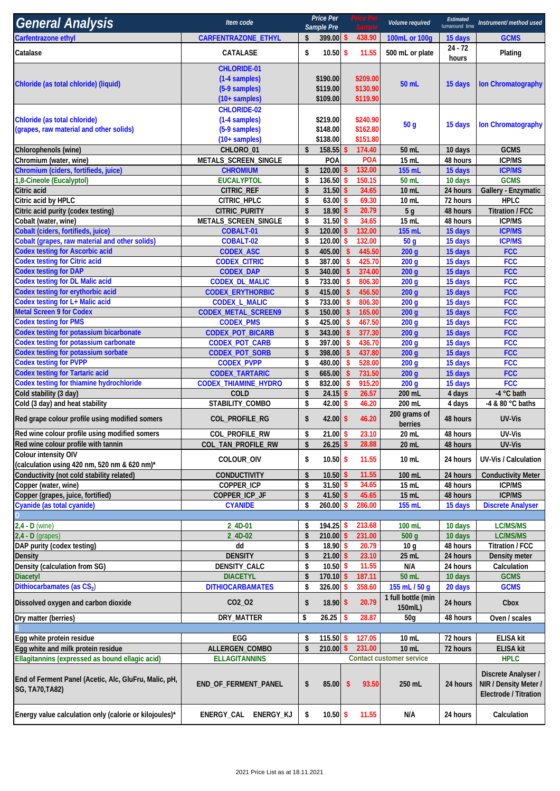| <b>General Analysis</b>                                                                  | Item code                                                                       |                                 | Price Per<br>Sample Pre          |                                  | Price Per                        | Volume required                      | Estimated<br>turnaround time | Instrument/ method used                                               |
|------------------------------------------------------------------------------------------|---------------------------------------------------------------------------------|---------------------------------|----------------------------------|----------------------------------|----------------------------------|--------------------------------------|------------------------------|-----------------------------------------------------------------------|
| <b>Carfentrazone ethyl</b>                                                               | CARFENTRAZONE_ETHYL                                                             | \$                              | 399.00 \$                        |                                  | 438.90                           | 100mL or 100g                        | 15 days                      | <b>GCMS</b>                                                           |
| Catalase                                                                                 | CATALASE                                                                        | \$                              | $10.50$ \$                       |                                  | 11.55                            | 500 mL or plate                      | $24 - 72$<br>hours           | Plating                                                               |
| Chloride (as total chloride) (liquid)                                                    | <b>CHLORIDE-01</b><br>(1-4 samples)<br>(5-9 samples)<br>$(10 + \text{samples})$ |                                 | \$190.00<br>\$119.00<br>\$109.00 |                                  | \$209.00<br>\$130.90<br>\$119.90 | 50 mL                                | 15 days                      | <b>Ion Chromatography</b>                                             |
| Chloride (as total chloride)<br>(grapes, raw material and other solids)                  | <b>CHLORIDE-02</b><br>(1-4 samples)<br>(5-9 samples)<br>$(10 + \text{samples})$ |                                 | \$219.00<br>\$148.00<br>\$138.00 |                                  | \$240.90<br>\$162.80<br>\$151.80 | 50 <sub>q</sub>                      | 15 days                      | <b>Ion Chromatography</b>                                             |
| Chlorophenols (wine)                                                                     | CHLORO_01                                                                       | \$                              | 158.55                           |                                  | 174.40                           | 50 mL                                | 10 days                      | <b>GCMS</b><br><b>ICP/MS</b>                                          |
| Chromium (water, wine)<br>Chromium (ciders, fortifieds, juice)                           | METALS_SCREEN_SINGLE<br><b>CHROMIUM</b>                                         | \$                              | POA<br>120.00                    |                                  | POA<br>132.00                    | 15 mL<br>155 mL                      | 48 hours<br>15 days          | <b>ICP/MS</b>                                                         |
| 1,8-Cineole (Eucalyptol)                                                                 | <b>EUCALYPTOL</b>                                                               | \$                              | 136.50                           | S,                               | 150.15                           | 50 mL                                | 10 days                      | <b>GCMS</b>                                                           |
| Citric acid                                                                              | CITRIC_REF                                                                      | \$                              | 31.50                            | -\$                              | 34.65                            | 10 mL                                | 24 hours                     | Gallery - Enzymatic                                                   |
| Citric acid by HPLC                                                                      | CITRIC_HPLC                                                                     | \$                              | 63.00                            | s.                               | 69.30                            | 10 mL                                | 72 hours                     | <b>HPLC</b>                                                           |
| Citric acid purity (codex testing)                                                       | CITRIC_PURITY                                                                   | \$                              | 18.90                            | S,                               | 20.79                            | 5 <sub>g</sub>                       | 48 hours                     | <b>Titration / FCC</b>                                                |
| Cobalt (water, wine)                                                                     | METALS_SCREEN_SINGLE                                                            | \$                              | 31.50                            | S,                               | 34.65                            | 15 mL                                | 48 hours                     | <b>ICP/MS</b>                                                         |
| Cobalt (ciders, fortifieds, juice)                                                       | COBALT-01                                                                       | \$                              | 120.00                           | \$                               | 132.00<br>132.00                 | 155 mL                               | 15 days                      | <b>ICP/MS</b>                                                         |
| Cobalt (grapes, raw material and other solids)<br><b>Codex testing for Ascorbic acid</b> | COBALT-02<br><b>CODEX_ASC</b>                                                   | \$<br>\$                        | 120.00<br>405.00                 | -S<br>$\mathbf{\hat{S}}$         | 445.50                           | 50 <sub>g</sub><br>200q              | 15 days<br>15 days           | <b>ICP/MS</b><br><b>FCC</b>                                           |
| <b>Codex testing for Citric acid</b>                                                     | <b>CODEX_CITRIC</b>                                                             | \$                              | 387.00                           | $\sqrt{2}$                       | 425.70                           | 200 <sub>g</sub>                     | 15 days                      | <b>FCC</b>                                                            |
| <b>Codex testing for DAP</b>                                                             | <b>CODEX_DAP</b>                                                                | \$                              | 340.00                           | $\mathsf{\$}$                    | 374.00                           | 200q                                 | 15 days                      | <b>FCC</b>                                                            |
| <b>Codex testing for DL Malic acid</b>                                                   | <b>CODEX_DL_MALIC</b>                                                           | \$                              | 733.00                           | -\$                              | 806.30                           | 200q                                 | 15 days                      | <b>FCC</b>                                                            |
| Codex testing for erythorbic acid                                                        | <b>CODEX_ERYTHORBIC</b>                                                         | \$                              | 415.00                           | $\sqrt{2}$                       | 456.50                           | 200 <sub>g</sub>                     | 15 days                      | <b>FCC</b>                                                            |
| <b>Codex testing for L+ Malic acid</b>                                                   | <b>CODEX_L_MALIC</b>                                                            | \$                              | 733.00                           | $\mathbf{\hat{s}}$               | 806.30                           | 200 <sub>g</sub>                     | 15 days                      | <b>FCC</b>                                                            |
| <b>Metal Screen 9 for Codex</b>                                                          | CODEX_METAL_SCREEN9                                                             | \$                              | 150.00                           | $\mathbf{\hat{s}}$               | 165.00                           | 200 <sub>g</sub>                     | 15 days                      | <b>FCC</b>                                                            |
| <b>Codex testing for PMS</b>                                                             | <b>CODEX_PMS</b>                                                                | \$                              | 425.00                           | $\mathsf{s}$                     | 467.50                           | 200q                                 | 15 days                      | <b>FCC</b>                                                            |
| <b>Codex testing for potassium bicarbonate</b><br>Codex testing for potassium carbonate  | CODEX_POT_BICARB                                                                | \$                              | 343.00                           | $\mathbf{\hat{S}}$               | 377.30                           | 200 <sub>g</sub>                     | 15 days                      | <b>FCC</b>                                                            |
| <b>Codex testing for potassium sorbate</b>                                               | CODEX_POT_CARB<br>CODEX_POT_SORB                                                | \$<br>\$                        | 397.00<br>398.00                 | $\sqrt{2}$<br>$\mathbf{\hat{s}}$ | 436.70<br>437.80                 | 200 <sub>g</sub><br>200 <sub>g</sub> | 15 days<br>15 days           | <b>FCC</b><br><b>FCC</b>                                              |
| <b>Codex testing for PVPP</b>                                                            | <b>CODEX_PVPP</b>                                                               | \$                              | 480.00                           | -\$                              | 528.00                           | 200 <sub>g</sub>                     | 15 days                      | <b>FCC</b>                                                            |
| <b>Codex testing for Tartaric acid</b>                                                   | <b>CODEX_TARTARIC</b>                                                           | \$                              | 665.00                           | $\boldsymbol{\mathsf{s}}$        | 731.50                           | 200q                                 | 15 days                      | <b>FCC</b>                                                            |
| Codex testing for thiamine hydrochloride                                                 | <b>CODEX_THIAMINE_HYDRO</b>                                                     | \$                              | 832.00                           | -\$                              | 915.20                           | 200q                                 | 15 days                      | <b>FCC</b>                                                            |
| Cold stability (3 day)                                                                   | COLD                                                                            | \$                              | 24.15                            | s.                               | 26.57                            | 200 mL                               | 4 days                       | -4 °C bath                                                            |
| Cold (3 day) and heat stability                                                          | STABILITY_COMBO                                                                 | \$                              | 42.00                            | \$                               | 46.20                            | 200 mL                               | 4 days                       | -4 & 80 °C baths                                                      |
| Red grape colour profile using modified somers                                           | COL_PROFILE_RG                                                                  | \$                              | $42.00$ \$                       |                                  | 46.20                            | 200 grams of<br>berries              | 48 hours                     | <b>UV-Vis</b>                                                         |
| Red wine colour profile using modified somers                                            | COL_PROFILE_RW                                                                  | \$                              | 21.00S                           |                                  | 23.10                            | 20 mL                                | 48 hours                     | UV-Vis                                                                |
| Red wine colour profile with tannin                                                      | COL_TAN_PROFILE_RW                                                              | \$                              | $26.25$ \$                       |                                  | 28.88                            | 20 mL                                | 48 hours                     | UV-Vis                                                                |
| Colour intensity OIV<br>(calculation using 420 nm, 520 nm & 620 nm)*                     | COLOUR_OIV                                                                      | \$                              | $10.50$ \$                       |                                  | 11.55                            | 10 mL                                | 24 hours                     | <b>UV-Vis / Calculation</b>                                           |
| Conductivity (not cold stability related)                                                | <b>CONDUCTIVITY</b>                                                             | \$                              | 10.50                            | -\$                              | 11.55                            | 100 mL                               | 24 hours                     | <b>Conductivity Meter</b>                                             |
| Copper (water, wine)<br>Copper (grapes, juice, fortified)                                | COPPER_ICP<br>COPPER_ICP_JF                                                     | \$<br>\$                        | $31.50$ \$<br>$41.50$ \$         |                                  | 34.65<br>45.65                   | 15 mL<br>15 mL                       | 48 hours<br>48 hours         | <b>ICP/MS</b><br><b>ICP/MS</b>                                        |
| Cyanide (as total cyanide)                                                               | <b>CYANIDE</b>                                                                  | \$                              | 260.00                           | -S                               | 286.00                           | 155 mL                               | 15 days                      | <b>Discrete Analyser</b>                                              |
|                                                                                          |                                                                                 |                                 |                                  |                                  |                                  |                                      |                              |                                                                       |
| $2,4 - D$ (wine)                                                                         | 2 4D-01                                                                         | \$                              | 194.25                           | -S                               | 213.68                           | 100 mL                               | 10 days                      | LC/MS/MS                                                              |
| $2,4 - D$ (grapes)                                                                       | 2_4D-02                                                                         | \$                              | 210.00                           | \$                               | 231.00                           | 500 <sub>g</sub>                     | 10 days                      | LC/MS/MS                                                              |
| DAP purity (codex testing)                                                               | dd                                                                              | \$                              | 18.90                            | -\$                              | 20.79                            | 10 <sub>g</sub>                      | 48 hours                     | Titration / FCC                                                       |
| <b>Density</b>                                                                           | <b>DENSITY</b>                                                                  | \$                              | 21.00                            | \$                               | 23.10                            | 25 mL                                | 24 hours                     | Density meter                                                         |
| Density (calculation from SG)                                                            | DENSITY_CALC                                                                    | \$                              | 10.50                            | -S                               | 11.55                            | N/A                                  | 24 hours                     | Calculation                                                           |
| <b>Diacetyl</b><br>Dithiocarbamates (as CS2)                                             | <b>DIACETYL</b><br><b>DITHIOCARBAMATES</b>                                      | $\boldsymbol{\mathsf{s}}$<br>\$ | 170.10<br>326.00                 | \$<br>S,                         | 187.11<br>358.60                 | 50 mL<br>155 mL / 50 g               | 10 days                      | <b>GCMS</b><br><b>GCMS</b>                                            |
| Dissolved oxygen and carbon dioxide                                                      | CO <sub>2</sub> _O <sub>2</sub>                                                 | \$                              | $18.90$ \$                       |                                  | 20.79                            | 1 full bottle (min                   | 20 days<br>24 hours          | Cbox                                                                  |
| Dry matter (berries)                                                                     | DRY_MATTER                                                                      | \$                              | 26.25                            | -S                               | 28.87                            | 150mlL)<br>50 <sub>g</sub>           | 48 hours                     | Oven / scales                                                         |
|                                                                                          |                                                                                 |                                 |                                  |                                  |                                  |                                      |                              |                                                                       |
| Egg white protein residue                                                                | EGG                                                                             | \$                              | 115.50                           | -S                               | 127.05                           | 10 mL                                | 72 hours                     | <b>ELISA kit</b>                                                      |
| Egg white and milk protein residue                                                       | ALLERGEN_COMBO                                                                  | \$                              | 210.00                           | -\$                              | 231.00                           | 10 mL                                | 72 hours                     | <b>ELISA kit</b>                                                      |
| Ellagitannins (expressed as bound ellagic acid)                                          | <b>ELLAGITANNINS</b>                                                            |                                 |                                  |                                  |                                  | Contact customer service             |                              | <b>HPLC</b>                                                           |
| End of Ferment Panel (Acetic, Alc, GluFru, Malic, pH,<br><b>SG, TA70, TA82)</b>          | END_OF_FERMENT_PANEL                                                            | \$                              | 85.00                            | -\$                              | 93.50                            | 250 mL                               | 24 hours                     | Discrete Analyser /<br>NIR / Density Meter /<br>Electrode / Titration |
| Energy value calculation only (calorie or kilojoules)*                                   | ENERGY_CAL<br>ENERGY_KJ                                                         | \$                              | $10.50$ \$                       |                                  | 11.55                            | N/A                                  | 24 hours                     | Calculation                                                           |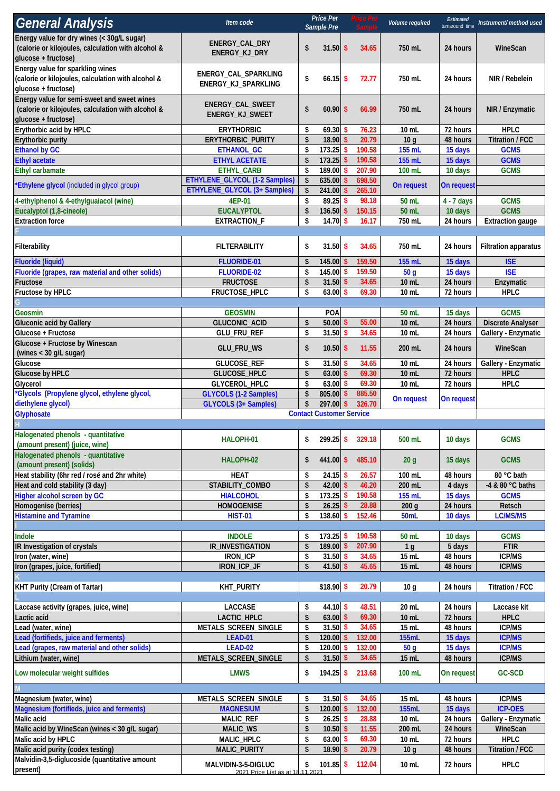| <b>General Analysis</b>                                                                                                  | Item code                                               |                        | <b>Price Per</b><br>Sample Pre  |               | <b>Price Per</b> | Volume required            | Estimated<br>turnaround time | Instrument/ method used        |
|--------------------------------------------------------------------------------------------------------------------------|---------------------------------------------------------|------------------------|---------------------------------|---------------|------------------|----------------------------|------------------------------|--------------------------------|
| Energy value for dry wines (< 30g/L sugar)<br>(calorie or kilojoules, calculation with alcohol &<br>glucose + fructose)  | <b>ENERGY CAL DRY</b><br>ENERGY_KJ_DRY                  | \$                     | $31.50$ \$                      |               | 34.65            | 750 mL                     | 24 hours                     | WineScan                       |
| Energy value for sparkling wines<br>(calorie or kilojoules, calculation with alcohol &<br>glucose + fructose)            | ENERGY_CAL_SPARKLING<br>ENERGY_KJ_SPARKLING             | \$                     | $66.15$ \$                      |               | 72.77            | 750 mL                     | 24 hours                     | NIR / Rebelein                 |
| Energy value for semi-sweet and sweet wines<br>(calorie or kilojoules, calculation with alcohol &<br>glucose + fructose) | ENERGY_CAL_SWEET<br>ENERGY_KJ_SWEET                     | \$                     | $60.90$ \$                      |               | 66.99            | 750 mL                     | 24 hours                     | NIR / Enzymatic                |
| Erythorbic acid by HPLC                                                                                                  | <b>ERYTHORBIC</b>                                       | \$                     | 69.30                           | -S            | 76.23            | 10 mL                      | 72 hours                     | <b>HPLC</b>                    |
| Erythorbic purity                                                                                                        | ERYTHORBIC_PURITY                                       | \$                     | $18.90$ \$                      |               | 20.79            | 10q                        | 48 hours                     | <b>Titration / FCC</b>         |
| <b>Ethanol by GC</b>                                                                                                     | ETHANOL_GC                                              | \$                     | 173.25                          | \$            | 190.58           | 155 mL                     | 15 days                      | <b>GCMS</b>                    |
| <b>Ethyl acetate</b><br><b>Ethyl carbamate</b>                                                                           | <b>ETHYL ACETATE</b><br>ETHYL_CARB                      | \$<br>\$               | $173.25$ \$<br>189.00 \$        |               | 190.58<br>207.90 | 155 mL<br>100 mL           | 15 days<br>10 days           | <b>GCMS</b><br><b>GCMS</b>     |
|                                                                                                                          | ETHYLENE_GLYCOL (1-2 Samples)                           | \$                     | 635.00                          | \$            | 698.50           |                            |                              |                                |
| <b>Ethylene glycol</b> (included in glycol group) <sup>*</sup>                                                           | ETHYLENE_GLYCOL (3+ Samples)                            | \$                     | 241.00                          | $\mathsf{\$}$ | 265.10           | On request                 | On request                   |                                |
| 4-ethylphenol & 4-ethylguaiacol (wine)                                                                                   | 4EP-01                                                  | \$                     | 89.25                           | <b>S</b>      | 98.18            | 50 mL                      | $4 - 7$ days                 | <b>GCMS</b>                    |
| Eucalyptol (1,8-cineole)                                                                                                 | <b>EUCALYPTOL</b>                                       | \$                     | $136.50$ \$                     |               | 150.15           | 50 mL                      | 10 days                      | <b>GCMS</b>                    |
| <b>Extraction force</b>                                                                                                  | <b>EXTRACTION_F</b>                                     | \$                     | $14.70$ \$                      |               | 16.17            | 750 mL                     | 24 hours                     | <b>Extraction gauge</b>        |
| Filterability                                                                                                            | <b>FILTERABILITY</b>                                    | \$                     | $31.50$ \$                      |               | 34.65            | 750 mL                     | 24 hours                     | <b>Filtration apparatus</b>    |
| Fluoride (liquid)                                                                                                        | <b>FLUORIDE-01</b>                                      | \$                     | $145.00$ \$                     |               | 159.50           | 155 mL                     | 15 days                      | <b>ISE</b>                     |
| Fluoride (grapes, raw material and other solids)                                                                         | FLUORIDE-02                                             | \$                     | 145.00 \$                       |               | 159.50           | 50 <sub>g</sub>            | 15 days                      | <b>ISE</b>                     |
| Fructose<br>Fructose by HPLC                                                                                             | <b>FRUCTOSE</b><br>FRUCTOSE_HPLC                        | \$<br>\$               | $31.50$ \$<br>$63.00$ \$        |               | 34.65<br>69.30   | 10 mL<br>10 mL             | 24 hours<br>72 hours         | Enzymatic<br><b>HPLC</b>       |
|                                                                                                                          |                                                         |                        |                                 |               |                  |                            |                              |                                |
| Geosmin                                                                                                                  | <b>GEOSMIN</b>                                          |                        | <b>POA</b>                      |               |                  | 50 mL                      | 15 days                      | <b>GCMS</b>                    |
| <b>Gluconic acid by Gallery</b>                                                                                          | GLUCONIC_ACID                                           | \$                     | $50.00$ \$                      |               | 55.00            | 10 mL                      | 24 hours                     | <b>Discrete Analyser</b>       |
| Glucose + Fructose                                                                                                       | GLU_FRU_REF                                             | \$                     | $31.50$ \$                      |               | 34.65            | 10 mL                      | 24 hours                     | Gallery - Enzymatic            |
| Glucose + Fructose by Winescan<br>(wines < 30 g/L sugar)                                                                 | GLU_FRU_WS                                              | \$                     | $10.50$ \$                      |               | 11.55            | 200 mL                     | 24 hours                     | WineScan                       |
| Glucose                                                                                                                  | GLUCOSE_REF                                             | \$                     | $31.50$ \$                      |               | 34.65            | 10 mL                      | 24 hours                     | Gallery - Enzymatic            |
| Glucose by HPLC                                                                                                          | GLUCOSE_HPLC                                            | \$                     | $63.00$ \$                      |               | 69.30            | 10 mL                      | 72 hours                     | <b>HPLC</b>                    |
| Glycerol<br>*Glycols (Propylene glycol, ethylene glycol,                                                                 | GLYCEROL_HPLC<br><b>GLYCOLS (1-2 Samples)</b>           | \$<br>\$               | $63.00$ \$<br>805.00 \$         |               | 69.30<br>885.50  | 10 mL                      | 72 hours                     | <b>HPLC</b>                    |
| diethylene glycol)                                                                                                       | <b>GLYCOLS (3+ Samples)</b>                             | \$                     | 297.00                          | \$            | 326.70           | On request                 | On request                   |                                |
| Glyphosate                                                                                                               |                                                         |                        | <b>Contact Customer Service</b> |               |                  |                            |                              |                                |
|                                                                                                                          |                                                         |                        |                                 |               |                  |                            |                              |                                |
| Halogenated phenols - quantitative<br>(amount present) (juice, wine)                                                     | HALOPH-01                                               | \$                     | $299.25$ \$                     |               | 329.18           | 500 mL                     | 10 days                      | <b>GCMS</b>                    |
| Halogenated phenols - quantitative<br>(amount present) (solids)                                                          | HALOPH-02                                               | \$                     | $441.00$ \$                     |               | 485.10           | 20 <sub>g</sub>            | 15 days                      | <b>GCMS</b>                    |
| Heat stability (6hr red / rosé and 2hr white)                                                                            | <b>HEAT</b>                                             | \$                     | $24.15$ \$                      |               | 26.57            | 100 mL                     | 48 hours                     | 80 °C bath                     |
| Heat and cold stability (3 day)                                                                                          | STABILITY_COMBO                                         | $\boldsymbol{\hat{S}}$ | $42.00$ \$                      |               | 46.20            | 200 mL                     | 4 days                       | -4 & 80 °C baths               |
| Higher alcohol screen by GC<br>Homogenise (berries)                                                                      | <b>HIALCOHOL</b><br><b>HOMOGENISE</b>                   | \$<br>\$               | $173.25$ \$<br>$26.25$ \$       |               | 190.58<br>28.88  | 155 mL<br>200 <sub>g</sub> | 15 days<br>24 hours          | <b>GCMS</b><br>Retsch          |
| <b>Histamine and Tyramine</b>                                                                                            | <b>HIST-01</b>                                          | \$                     | 138.60 \$                       |               | 152.46           | 50mL                       | 10 days                      | LC/MS/MS                       |
|                                                                                                                          |                                                         |                        |                                 |               |                  |                            |                              |                                |
| Indole                                                                                                                   | <b>INDOLE</b>                                           | \$                     | $173.25$ \$                     |               | 190.58           | 50 mL                      | 10 days                      | <b>GCMS</b>                    |
| IR Investigation of crystals                                                                                             | IR_INVESTIGATION                                        | \$                     | 189.00 \$                       |               | 207.90           | 1 <sub>g</sub>             | 5 days                       | <b>FTIR</b>                    |
| Iron (water, wine)                                                                                                       | IRON_ICP                                                | \$<br>\$               | $31.50$ \$                      |               | 34.65            | 15 mL                      | 48 hours                     | <b>ICP/MS</b>                  |
| Iron (grapes, juice, fortified)                                                                                          | IRON_ICP_JF                                             |                        | $41.50$ \$                      |               | 45.65            | 15 mL                      | 48 hours                     | <b>ICP/MS</b>                  |
| KHT Purity (Cream of Tartar)                                                                                             | <b>KHT_PURITY</b>                                       |                        | $$18.90$ \$                     |               | 20.79            | 10 <sub>g</sub>            | 24 hours                     | Titration / FCC                |
| Laccase activity (grapes, juice, wine)                                                                                   | <b>LACCASE</b>                                          | \$                     | 44.10 \$                        |               | 48.51            | 20 mL                      | 24 hours                     | Laccase kit                    |
| Lactic acid                                                                                                              | LACTIC_HPLC                                             | \$                     | $63.00$ \$                      |               | 69.30            | 10 mL                      | 72 hours                     | <b>HPLC</b>                    |
| Lead (water, wine)                                                                                                       | METALS_SCREEN_SINGLE                                    | \$                     | $31.50$ \$                      |               | 34.65            | 15 mL                      | 48 hours                     | <b>ICP/MS</b>                  |
| Lead (fortifieds, juice and ferments)                                                                                    | <b>LEAD-01</b>                                          | \$                     | 120.00 \$                       |               | 132.00<br>132.00 | <b>155mL</b>               | 15 days                      | <b>ICP/MS</b><br><b>ICP/MS</b> |
| Lead (grapes, raw material and other solids)<br>Lithium (water, wine)                                                    | <b>LEAD-02</b><br>METALS_SCREEN_SINGLE                  | \$<br>\$               | 120.00 \$<br>$31.50$ \$         |               | 34.65            | 50 <sub>g</sub><br>15 mL   | 15 days<br>48 hours          | <b>ICP/MS</b>                  |
|                                                                                                                          | <b>LMWS</b>                                             |                        | $194.25$ \$                     |               | 213.68           | 100 mL                     |                              | <b>GC-SCD</b>                  |
| Low molecular weight sulfides                                                                                            |                                                         | \$                     |                                 |               |                  |                            | On request                   |                                |
| Magnesium (water, wine)                                                                                                  | METALS_SCREEN_SINGLE                                    | \$                     | $31.50$ \$                      |               | 34.65            | 15 mL                      | 48 hours                     | <b>ICP/MS</b>                  |
| Magnesium (fortifieds, juice and ferments)                                                                               | <b>MAGNESIUM</b>                                        | $\boldsymbol{\hat{S}}$ | $120.00$ \$                     |               | 132.00           | <b>155mL</b>               | 15 days                      | <b>ICP-OES</b>                 |
| Malic acid                                                                                                               | MALIC_REF                                               | \$                     | $26.25$ \$                      |               | 28.88            | 10 mL                      | 24 hours                     | Gallery - Enzymatic            |
| Malic acid by WineScan (wines < 30 g/L sugar)                                                                            | MALIC_WS                                                | \$                     | $10.50$ \$                      |               | 11.55            | 200 mL                     | 24 hours                     | WineScan                       |
| Malic acid by HPLC                                                                                                       | MALIC_HPLC                                              | \$                     | $63.00$ \$                      |               | 69.30            | 10 mL                      | 72 hours                     | <b>HPLC</b>                    |
| Malic acid purity (codex testing)<br>Malvidin-3,5-diglucoside (quantitative amount                                       | MALIC_PURITY                                            | $\boldsymbol{\hat{S}}$ | 18.90 \$                        |               | 20.79            | 10 <sub>g</sub>            | 48 hours                     | <b>Titration / FCC</b>         |
| present)                                                                                                                 | MALVIDIN-3-5-DIGLUC<br>2021 Price List as at 18.11.2021 | \$                     | $101.85$ \$                     |               | 112.04           | 10 mL                      | 72 hours                     | <b>HPLC</b>                    |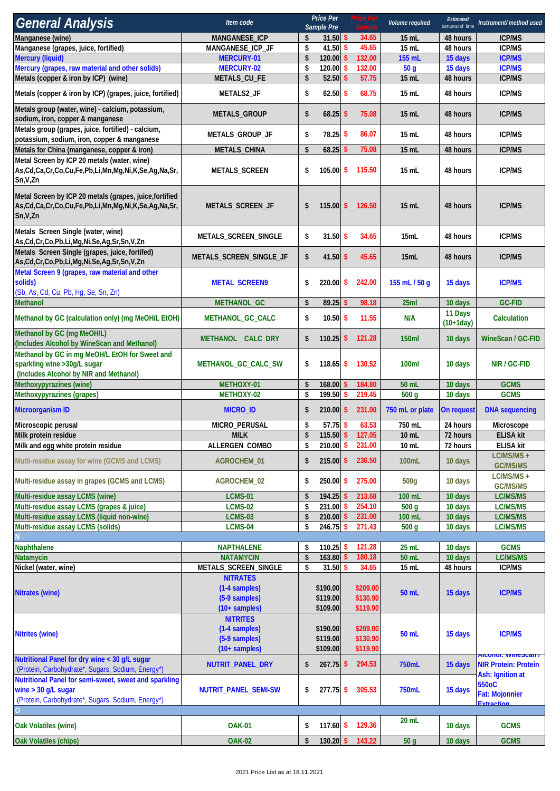| <b>General Analysis</b>                                                                                                                    | Item code                                                             |          | Price Per<br>Sample Pre          | rice Per |                                  | Volume required            |                        | Instrument/ method used                                                     |
|--------------------------------------------------------------------------------------------------------------------------------------------|-----------------------------------------------------------------------|----------|----------------------------------|----------|----------------------------------|----------------------------|------------------------|-----------------------------------------------------------------------------|
| Manganese (wine)                                                                                                                           | MANGANESE_ICP                                                         | \$       | $31.50$ \$                       |          | 34.65                            | $15$ mL                    | 48 hours               | <b>ICP/MS</b>                                                               |
| Manganese (grapes, juice, fortified)                                                                                                       | MANGANESE_ICP_JF                                                      | \$       | 41.50 \$                         |          | 45.65                            | 15 mL                      | 48 hours               | <b>ICP/MS</b>                                                               |
| <b>Mercury (liquid)</b>                                                                                                                    | <b>MERCURY-01</b>                                                     | \$       | 120.00                           | \$       | 132.00                           | 155 mL                     | 15 days                | <b>ICP/MS</b>                                                               |
| Mercury (grapes, raw material and other solids)                                                                                            | <b>MERCURY-02</b>                                                     | \$       | 120.00                           | s        | 132.00                           | 50 <sub>g</sub>            | 15 days                | <b>ICP/MS</b>                                                               |
| Metals (copper & iron by ICP) (wine)                                                                                                       | METALS_CU_FE                                                          | \$       | $52.50$ \$                       |          | 57.75                            | 15 mL                      | 48 hours               | <b>ICP/MS</b>                                                               |
| Metals (copper & iron by ICP) (grapes, juice, fortified)                                                                                   | METALS2_JF                                                            | \$       | $62.50$ \$                       |          | 68.75                            | 15 mL                      | 48 hours               | <b>ICP/MS</b>                                                               |
| Metals group (water, wine) - calcium, potassium,<br>sodium, iron, copper & manganese                                                       | METALS_GROUP                                                          | \$       | $68.25$ \$                       |          | 75.08                            | 15 mL                      | 48 hours               | <b>ICP/MS</b>                                                               |
| Metals group (grapes, juice, fortified) - calcium,<br>potassium, sodium, iron, copper & manganese                                          | METALS_GROUP_JF                                                       | \$       | 78.25 \$                         |          | 86.07                            | 15 mL                      | 48 hours               | <b>ICP/MS</b>                                                               |
| Metals for China (manganese, copper & iron)                                                                                                | METALS_CHINA                                                          | \$       | 68.25                            | s        | 75.08                            | 15 mL                      | 48 hours               | <b>ICP/MS</b>                                                               |
| Metal Screen by ICP 20 metals (water, wine)<br>As, Cd, Ca, Cr, Co, Cu, Fe, Pb, Li, Mn, Mg, Ni, K, Se, Ag, Na, Sr,<br>Sn, V, Zn             | <b>METALS_SCREEN</b>                                                  | \$       | 105.00                           | \$       | 115.50                           | 15 mL                      | 48 hours               | <b>ICP/MS</b>                                                               |
| Metal Screen by ICP 20 metals (grapes, juice, fortified<br>As, Cd, Ca, Cr, Co, Cu, Fe, Pb, Li, Mn, Mg, Ni, K, Se, Ag, Na, Sr,<br>Sn, V, Zn | METALS_SCREEN_JF                                                      | \$       |                                  |          | 115.00 \$ 126.50                 | $15$ mL                    | 48 hours               | <b>ICP/MS</b>                                                               |
| Metals Screen Single (water, wine)<br>As, Cd, Cr, Co, Pb, Li, Mg, Ni, Se, Ag, Sr, Sn, V, Zn                                                | METALS_SCREEN_SINGLE                                                  | \$       | $31.50$ \$                       |          | 34.65                            | 15mL                       | 48 hours               | <b>ICP/MS</b>                                                               |
| Metals Screen Single (grapes, juice, fortifed)<br>As, Cd, Cr, Co, Pb, Li, Mg, Ni, Se, Ag, Sr, Sn, V, Zn                                    | METALS_SCREEN_SINGLE_JF                                               | \$       | $41.50$ \$                       |          | 45.65                            | 15mL                       | 48 hours               | <b>ICP/MS</b>                                                               |
| Metal Screen 9 (grapes, raw material and other<br>solids)<br>(Sb, As, Cd, Cu, Pb, Hg, Se, Sn, Zn)                                          | <b>METAL_SCREEN9</b>                                                  | \$       | $220.00$ \$                      |          | 242.00                           | 155 mL / 50 g              | 15 days                | <b>ICP/MS</b>                                                               |
| Methanol                                                                                                                                   | METHANOL_GC                                                           | \$       | $89.25$ \$                       |          | 98.18                            | 25ml                       | 10 days                | <b>GC-FID</b>                                                               |
| Methanol by GC (calculation only) (mg MeOH/L EtOH)                                                                                         | METHANOL_GC_CALC                                                      | \$       | $10.50$ \$                       |          | 11.55                            | N/A                        | 11 Days<br>$(10+1day)$ | Calculation                                                                 |
| Methanol by GC (mg MeOH/L)<br>(Includes Alcohol by WineScan and Methanol)                                                                  | METHANOL_CALC_DRY                                                     | \$       | $110.25$ \$                      |          | 121.28                           | 150ml                      | 10 days                | <b>WineScan / GC-FID</b>                                                    |
| Methanol by GC in mg MeOH/L EtOH for Sweet and<br>sparkling wine > 30g/L sugar<br>(Includes Alcohol by NIR and Methanol)                   | METHANOL_GC_CALC_SW                                                   | \$       | $118.65$ \$                      |          | 130.52                           | 100ml                      | 10 days                | NIR / GC-FID                                                                |
| Methoxypyrazines (wine)                                                                                                                    | METHOXY-01                                                            | \$       | $168.00$ \$                      |          | 184.80                           | 50 mL                      | 10 days                | <b>GCMS</b>                                                                 |
| Methoxypyrazines (grapes)                                                                                                                  | METHOXY-02                                                            | \$       | 199.50 \$                        |          | 219.45                           | 500 <sub>g</sub>           | 10 days                | <b>GCMS</b>                                                                 |
| <b>Microorganism ID</b>                                                                                                                    | <b>MICRO_ID</b>                                                       | \$       | $210.00$ \$                      |          | 231.00                           | 750 mL or plate            | On request             | <b>DNA</b> sequencing                                                       |
| Microscopic perusal                                                                                                                        | MICRO_PERUSAL                                                         | \$       | $57.75$ \$                       |          | 63.53                            | 750 mL                     | 24 hours               | Microscope                                                                  |
| Milk protein residue                                                                                                                       | <b>MILK</b>                                                           | \$       | $115.50$ \$                      |          | 127.05                           | $10$ mL                    | 72 hours               | <b>ELISA kit</b>                                                            |
| Milk and egg white protein residue                                                                                                         | ALLERGEN_COMBO                                                        | \$       | $210.00$ \$                      |          | 231.00                           | 10 mL                      | 72 hours               | <b>ELISA kit</b>                                                            |
| Multi-residue assay for wine (GCMS and LCMS)                                                                                               | AGROCHEM_01                                                           | \$       | $215.00$ \$                      |          | 236.50                           | 100mL                      | 10 days                | $LC/MS/MS +$<br>GC/MS/MS                                                    |
| Multi-residue assay in grapes (GCMS and LCMS)                                                                                              | AGROCHEM_02                                                           | \$       | $250.00$ \$                      |          | 275.00                           | 500q                       | 10 days                | LC/MS/MS +<br>GC/MS/MS                                                      |
| Multi-residue assay LCMS (wine)                                                                                                            | <b>LCMS-01</b>                                                        | \$       | $194.25$ \$                      |          | 213.68                           | 100 mL                     | 10 days                | LC/MS/MS                                                                    |
| Multi-residue assay LCMS (grapes & juice)<br>Multi-residue assay LCMS (liquid non-wine)                                                    | <b>LCMS-02</b><br><b>LCMS-03</b>                                      | \$<br>\$ | 231.00 \$<br>$210.00$ \$         |          | 254.10<br>231.00                 | 500 <sub>g</sub><br>100 mL | 10 days                | LC/MS/MS<br>LC/MS/MS                                                        |
| Multi-residue assay LCMS (solids)                                                                                                          | <b>LCMS-04</b>                                                        | \$       | 246.75 \$                        |          | 271.43                           | 500q                       | 10 days<br>10 days     | LC/MS/MS                                                                    |
|                                                                                                                                            |                                                                       |          |                                  |          |                                  |                            |                        |                                                                             |
| Naphthalene                                                                                                                                | <b>NAPTHALENE</b>                                                     | \$       | 110.25 \$                        |          | 121.28                           | 25 mL                      | 10 days                | <b>GCMS</b>                                                                 |
| Natamycin                                                                                                                                  | <b>NATAMYCIN</b>                                                      | \$       | 163.80 \$                        |          | 180.18                           | 50 mL                      | 10 days                | LC/MS/MS                                                                    |
| Nickel (water, wine)                                                                                                                       | METALS_SCREEN_SINGLE                                                  | \$       | 31.50S                           |          | 34.65                            | 15 mL                      | 48 hours               | <b>ICP/MS</b>                                                               |
| <b>Nitrates (wine)</b>                                                                                                                     | <b>NITRATES</b><br>(1-4 samples)<br>(5-9 samples)<br>$(10 + samples)$ |          | \$190.00<br>\$119.00<br>\$109.00 |          | \$209.00<br>\$130.90<br>\$119.90 | 50 mL                      | 15 days                | <b>ICP/MS</b>                                                               |
| <b>Nitrites (wine)</b>                                                                                                                     | <b>NITRITES</b><br>(1-4 samples)<br>(5-9 samples)<br>$(10 + samples)$ |          | \$190.00<br>\$119.00<br>\$109.00 |          | \$209.00<br>\$130.90<br>\$119.90 | 50 mL                      | 15 days                | <b>ICP/MS</b>                                                               |
| Nutritional Panel for dry wine < 30 g/L sugar<br>(Protein, Carbohydrate*, Sugars, Sodium, Energy*)                                         | NUTRIT_PANEL_DRY                                                      | \$       | $267.75$ \$                      |          | 294.53                           | 750mL                      | 15 days                | <b>AICONOF WIRESCALL</b><br><b>NIR Protein: Protein</b><br>Ash: Ignition at |
| Nutritional Panel for semi-sweet, sweet and sparkling<br>wine $>$ 30 g/L sugar<br>(Protein, Carbohydrate*, Sugars, Sodium, Energy*)        | NUTRIT_PANEL_SEMI-SW                                                  | \$       | $277.75$ \$                      |          | 305.53                           | 750mL                      | 15 days                | 550oC<br><b>Fat: Mojonnier</b><br>Evtraction                                |
|                                                                                                                                            |                                                                       |          |                                  |          |                                  |                            |                        |                                                                             |
| <b>Oak Volatiles (wine)</b>                                                                                                                | <b>OAK-01</b>                                                         | \$       | $117.60$ \$                      |          | 129.36                           | 20 mL                      | 10 days                | <b>GCMS</b>                                                                 |
| Oak Volatiles (chips)                                                                                                                      | <b>OAK-02</b>                                                         | \$       | $130.20$ \$                      |          | 143.22                           | 50 <sub>g</sub>            | 10 days                | <b>GCMS</b>                                                                 |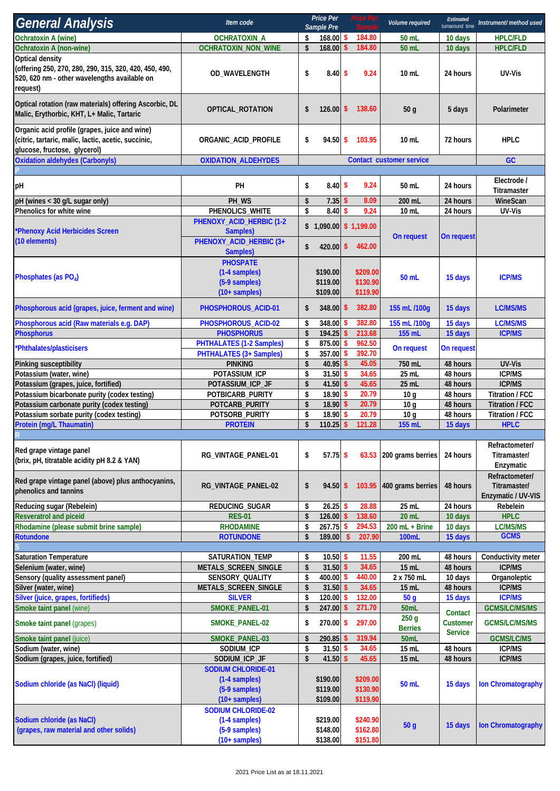| <b>General Analysis</b>                                                                                                               | Item code                                                                                |                           | <b>Price Per</b><br>Sample Pre        |                    | rice Per<br>Comple               | Volume required                    | Estimated<br>turnaround time | Instrument/ method used                              |
|---------------------------------------------------------------------------------------------------------------------------------------|------------------------------------------------------------------------------------------|---------------------------|---------------------------------------|--------------------|----------------------------------|------------------------------------|------------------------------|------------------------------------------------------|
| <b>Ochratoxin A (wine)</b>                                                                                                            | <b>OCHRATOXIN_A</b>                                                                      | \$                        | 168.00 \$                             |                    | 184.80                           | 50 mL                              | 10 days                      | <b>HPLC/FLD</b>                                      |
| Ochratoxin A (non-wine)                                                                                                               | <b>OCHRATOXIN_NON_WINE</b>                                                               | \$                        | 168.00                                | \$                 | 184.80                           | 50 mL                              | 10 days                      | <b>HPLC/FLD</b>                                      |
| Optical density<br>(offering 250, 270, 280, 290, 315, 320, 420, 450, 490,<br>520, 620 nm - other wavelengths available on<br>request) | OD_WAVELENGTH                                                                            | \$                        | 8.40S                                 |                    | 9.24                             | 10 mL                              | 24 hours                     | UV-Vis                                               |
| Optical rotation (raw materials) offering Ascorbic, DL<br>Malic, Erythorbic, KHT, L+ Malic, Tartaric                                  | OPTICAL_ROTATION                                                                         | \$                        | 126.00                                | \$                 | 138.60                           | 50 g                               | 5 days                       | Polarimeter                                          |
| Organic acid profile (grapes, juice and wine)<br>(citric, tartaric, malic, lactic, acetic, succinic,<br>glucose, fructose, glycerol)  | ORGANIC_ACID_PROFILE                                                                     | \$                        | $94.50$ \$                            |                    | 103.95                           | $10$ mL                            | 72 hours                     | <b>HPLC</b>                                          |
| <b>Oxidation aldehydes (Carbonyls)</b>                                                                                                | <b>OXIDATION_ALDEHYDES</b>                                                               |                           |                                       |                    |                                  | Contact customer service           |                              | GC                                                   |
|                                                                                                                                       |                                                                                          |                           |                                       |                    |                                  |                                    |                              |                                                      |
| pH                                                                                                                                    | PH                                                                                       | \$                        | $8.40\%$                              |                    | 9.24                             | 50 mL                              | 24 hours                     | Electrode /<br>Titramaster                           |
| pH (wines < 30 g/L sugar only)                                                                                                        | PH_WS                                                                                    | \$                        | 7.35                                  | \$                 | 8.09                             | 200 mL                             | 24 hours                     | WineScan                                             |
| Phenolics for white wine                                                                                                              | PHENOLICS_WHITE                                                                          | \$                        | 8.40                                  | Ŝ                  | 9.24                             | 10 mL                              | 24 hours                     | UV-Vis                                               |
| *Phenoxy Acid Herbicides Screen<br>(10 elements)                                                                                      | PHENOXY_ACID_HERBIC (1-2<br>Samples)<br>PHENOXY_ACID_HERBIC (3+                          | \$                        | $$1,090.00 \$1,199.00$<br>$420.00$ \$ |                    | 462.00                           | On request                         | On request                   |                                                      |
| Phosphates (as PO4)                                                                                                                   | Samples)<br><b>PHOSPATE</b><br>(1-4 samples)<br>(5-9 samples)<br>$(10 + \text{samples})$ |                           | \$190.00<br>\$119.00<br>\$109.00      |                    | \$209.00<br>\$130.90<br>\$119.90 | 50 mL                              | 15 days                      | <b>ICP/MS</b>                                        |
| Phosphorous acid (grapes, juice, ferment and wine)                                                                                    | PHOSPHOROUS_ACID-01                                                                      | \$                        | 348.00 \$                             |                    | 382.80                           | 155 mL /100g                       | 15 days                      | LC/MS/MS                                             |
| Phosphorous acid (Raw materials e.g. DAP)                                                                                             | PHOSPHOROUS_ACID-02                                                                      | \$                        | 348.00                                |                    | 382.80                           | 155 mL /100g                       | 15 days                      | <b>LC/MS/MS</b>                                      |
| <b>Phosphorus</b>                                                                                                                     | <b>PHOSPHORUS</b>                                                                        | \$                        | 194.25                                | -S                 | 213.68                           | 155 mL                             | 15 days                      | <b>ICP/MS</b>                                        |
| *Phthalates/plasticisers                                                                                                              | <b>PHTHALATES (1-2 Samples)</b><br><b>PHTHALATES (3+ Samples)</b>                        | \$<br>\$                  | 875.00<br>357.00                      | \$<br>\$           | 962.50<br>392.70                 | On request                         | On request                   |                                                      |
| Pinking susceptibility                                                                                                                | <b>PINKING</b>                                                                           | $\boldsymbol{\hat{s}}$    | 40.95                                 | S,                 | 45.05                            | 750 mL                             | 48 hours                     | UV-Vis                                               |
| Potassium (water, wine)                                                                                                               | POTASSIUM_ICP                                                                            | \$                        | 31.50                                 | Ŝ                  | 34.65                            | 25 mL                              | 48 hours                     | <b>ICP/MS</b>                                        |
| Potassium (grapes, juice, fortified)                                                                                                  | POTASSIUM_ICP_JF                                                                         | \$                        | 41.50 \$                              |                    | 45.65                            | 25 mL                              | 48 hours                     | <b>ICP/MS</b>                                        |
| Potassium bicarbonate purity (codex testing)                                                                                          | POTBICARB_PURITY                                                                         | \$                        | 18.90                                 | \$                 | 20.79                            | 10 <sub>g</sub>                    | 48 hours                     | Titration / FCC                                      |
| Potassium carbonate purity (codex testing)<br>Potassium sorbate purity (codex testing)                                                | POTCARB_PURITY<br>POTSORB_PURITY                                                         | \$<br>\$                  | 18.90<br>18.90                        | \$<br>s            | 20.79<br>20.79                   | 10 <sub>q</sub><br>10 <sub>q</sub> | 48 hours<br>48 hours         | <b>Titration / FCC</b><br>Titration / FCC            |
| Protein (mg/L Thaumatin)                                                                                                              | <b>PROTEIN</b>                                                                           | $\mathsf{\$}$             | 110.25                                | $\sqrt{2}$         | 121.28                           | 155 mL                             | 15 days                      | <b>HPLC</b>                                          |
|                                                                                                                                       |                                                                                          |                           |                                       |                    |                                  |                                    |                              |                                                      |
| Red grape vintage panel<br>(brix, pH, titratable acidity pH 8.2 & YAN)                                                                | RG_VINTAGE_PANEL-01                                                                      | \$                        | $57.75$ \$                            |                    |                                  | 63.53 200 grams berries            | 24 hours                     | Refractometer/<br>Titramaster/<br>Enzymatic          |
| Red grape vintage panel (above) plus anthocyanins,<br>phenolics and tannins                                                           | RG_VINTAGE_PANEL-02                                                                      | \$                        | $94.50 \text{ }$ \$                   |                    | 103.95                           | 400 grams berries                  | 48 hours                     | Refractometer/<br>Titramaster/<br>Enzymatic / UV-VIS |
| Reducing sugar (Rebelein)                                                                                                             | REDUCING_SUGAR                                                                           | \$                        | 26.25                                 | S,                 | 28.88                            | 25 mL                              | 24 hours                     | Rebelein                                             |
| <b>Resveratrol and piceid</b><br>Rhodamine (please submit brine sample)                                                               | <b>RES-01</b><br><b>RHODAMINE</b>                                                        | \$<br>\$                  | 126.00<br>267.75                      | S,<br>\$           | 138.60<br>294.53                 | 20 mL<br>$200$ mL + Brine          | 10 days<br>10 days           | <b>HPLC</b><br><b>LC/MS/MS</b>                       |
| Rotundone                                                                                                                             | <b>ROTUNDONE</b>                                                                         | $\boldsymbol{\mathsf{s}}$ | 189.00                                | $\mathbf{\hat{s}}$ | 207.90                           | <b>100mL</b>                       | 15 days                      | <b>GCMS</b>                                          |
|                                                                                                                                       |                                                                                          |                           |                                       |                    |                                  |                                    |                              |                                                      |
| <b>Saturation Temperature</b>                                                                                                         | SATURATION_TEMP                                                                          | \$                        | $10.50$ \$                            |                    | 11.55                            | 200 mL                             | 48 hours                     | Conductivity meter                                   |
| Selenium (water, wine)                                                                                                                | METALS_SCREEN_SINGLE                                                                     | \$                        | 31.50                                 | $\mathsf{\$}$      | 34.65                            | 15 mL                              | 48 hours                     | <b>ICP/MS</b>                                        |
| Sensory (quality assessment panel)                                                                                                    | SENSORY_QUALITY                                                                          | \$                        | 400.00                                | \$                 | 440.00                           | 2 x 750 mL                         | 10 days                      | Organoleptic                                         |
| Silver (water, wine)<br>Silver (juice, grapes, fortifieds)                                                                            | METALS_SCREEN_SINGLE<br><b>SILVER</b>                                                    | \$<br>\$                  | 31.50<br>120.00                       | \$<br>S            | 34.65<br>132.00                  | 15 mL<br>50 <sub>g</sub>           | 48 hours                     | <b>ICP/MS</b><br><b>ICP/MS</b>                       |
| Smoke taint panel (wine)                                                                                                              | SMOKE_PANEL-01                                                                           | $\boldsymbol{\hat{s}}$    | 247.00                                | $\sqrt{2}$         | 271.70                           | 50mL                               | 15 days                      | <b>GCMS/LC/MS/MS</b>                                 |
| Smoke taint panel (grapes)                                                                                                            | SMOKE_PANEL-02                                                                           | \$                        | 270.00 \$                             |                    | 297.00                           | 250 <sub>g</sub>                   | Contact<br><b>Customer</b>   | <b>GCMS/LC/MS/MS</b>                                 |
|                                                                                                                                       |                                                                                          |                           | 290.85                                | \$                 | 319.94                           | <b>Berries</b><br>50mL             | <b>Service</b>               | <b>GCMS/LC/MS</b>                                    |
| Smoke taint panel (juice)<br>Sodium (water, wine)                                                                                     | SMOKE_PANEL-03<br>SODIUM_ICP                                                             | \$<br>\$                  | 31.50S                                |                    | 34.65                            | 15 mL                              | 48 hours                     | <b>ICP/MS</b>                                        |
| Sodium (grapes, juice, fortified)                                                                                                     | SODIUM_ICP_JF                                                                            | \$                        | 41.50                                 | \$                 | 45.65                            | 15 mL                              | 48 hours                     | <b>ICP/MS</b>                                        |
| Sodium chloride (as NaCl) (liquid)                                                                                                    | <b>SODIUM CHLORIDE-01</b><br>(1-4 samples)<br>(5-9 samples)<br>$(10 + \text{samples})$   |                           | \$190.00<br>\$119.00<br>\$109.00      |                    | \$209.00<br>\$130.90<br>\$119.90 | 50 mL                              | 15 days                      | <b>Ion Chromatography</b>                            |
| Sodium chloride (as NaCl)<br>(grapes, raw material and other solids)                                                                  | <b>SODIUM CHLORIDE-02</b><br>(1-4 samples)<br>(5-9 samples)<br>$(10 + samples)$          |                           | \$219.00<br>\$148.00<br>\$138.00      |                    | \$240.90<br>\$162.80<br>\$151.80 | 50 <sub>g</sub>                    | 15 days                      | <b>Ion Chromatography</b>                            |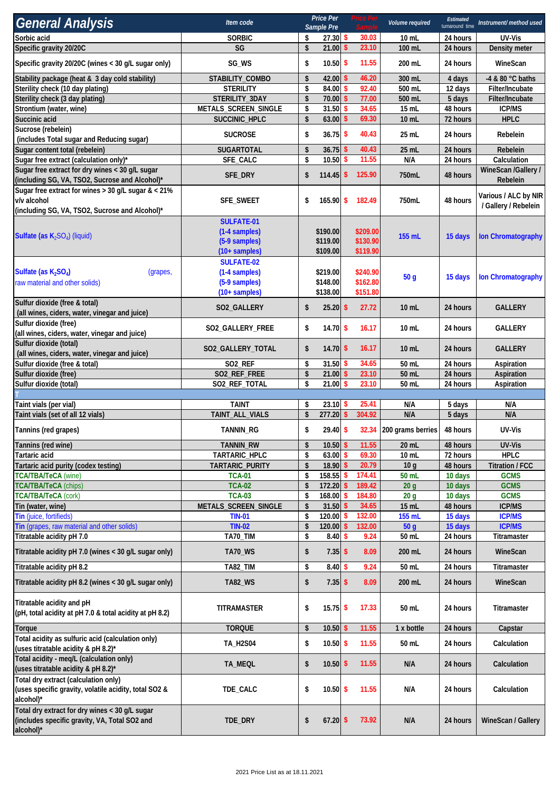| <b>General Analysis</b>                                                                                      | Item code                             |                           | <b>Price Per</b><br>Sample Pre |               | Price Per            | Volume required         | Estimated<br>turnaround time | Instrument/method used          |
|--------------------------------------------------------------------------------------------------------------|---------------------------------------|---------------------------|--------------------------------|---------------|----------------------|-------------------------|------------------------------|---------------------------------|
| Sorbic acid                                                                                                  | <b>SORBIC</b>                         | \$                        | $27.30$ \$                     |               | 30.03                | 10 mL                   | 24 hours                     | UV-Vis                          |
| Specific gravity 20/20C                                                                                      | SG                                    | $\boldsymbol{\hat{s}}$    | 21.00                          | \$            | 23.10                | 100 mL                  | 24 hours                     | Density meter                   |
| Specific gravity 20/20C (wines < 30 g/L sugar only)                                                          | SG_WS                                 | \$                        | $10.50$ \$                     |               | 11.55                | 200 mL                  | 24 hours                     | WineScan                        |
| Stability package (heat & 3 day cold stability)                                                              | STABILITY_COMBO                       | \$                        | 42.00                          | -S            | 46.20                | 300 mL                  | 4 days                       | -4 & 80 °C baths                |
| Sterility check (10 day plating)                                                                             | <b>STERILITY</b>                      | \$                        | 84.00                          | \$            | 92.40                | 500 mL                  | 12 days                      | Filter/Incubate                 |
| Sterility check (3 day plating)                                                                              | STERILITY_3DAY                        | $\boldsymbol{\mathsf{s}}$ | 70.00                          | $\mathsf{\$}$ | 77.00                | 500 mL                  | 5 days                       | Filter/Incubate                 |
| Strontium (water, wine)<br>Succinic acid                                                                     | METALS_SCREEN_SINGLE<br>SUCCINIC_HPLC | \$<br>\$                  | 31.50<br>63.00                 | \$<br>\$      | 34.65<br>69.30       | 15 mL<br>10 mL          | 48 hours<br>72 hours         | <b>ICP/MS</b><br><b>HPLC</b>    |
| Sucrose (rebelein)                                                                                           |                                       |                           |                                |               |                      |                         |                              |                                 |
| (includes Total sugar and Reducing sugar)                                                                    | <b>SUCROSE</b>                        | \$                        | $36.75$ \$                     |               | 40.43                | 25 mL                   | 24 hours                     | Rebelein                        |
| Sugar content total (rebelein)                                                                               | SUGARTOTAL                            | \$                        | $36.75$ \$                     |               | 40.43                | 25 mL                   | 24 hours                     | Rebelein                        |
| Sugar free extract (calculation only)*                                                                       | SFE_CALC                              | \$                        | 10.50                          | \$            | 11.55                | N/A                     | 24 hours                     | Calculation                     |
| Sugar free extract for dry wines < 30 g/L sugar<br>(including SG, VA, TSO2, Sucrose and Alcohol)*            | SFE_DRY                               | \$                        | $114.45$ \$                    |               | 125.90               | 750mL                   | 48 hours                     | WineScan /Gallery /<br>Rebelein |
| Sugar free extract for wines > 30 g/L sugar & < 21%                                                          |                                       |                           |                                |               |                      |                         |                              | Various / ALC by NIR            |
| v/v alcohol                                                                                                  | SFE_SWEET                             | \$                        | $165.90$ \$                    |               | 182.49               | 750mL                   | 48 hours                     | / Gallery / Rebelein            |
| (including SG, VA, TSO2, Sucrose and Alcohol)*                                                               |                                       |                           |                                |               |                      |                         |                              |                                 |
|                                                                                                              | <b>SULFATE-01</b>                     |                           |                                |               |                      |                         |                              |                                 |
| Sulfate (as $K_2SO_4$ ) (liquid)                                                                             | (1-4 samples)<br>(5-9 samples)        |                           | \$190.00<br>\$119.00           |               | \$209.00<br>\$130.90 | 155 mL                  | 15 days                      | <b>Ion Chromatography</b>       |
|                                                                                                              | $(10 + \text{samples})$               |                           | \$109.00                       |               | \$119.90             |                         |                              |                                 |
|                                                                                                              | <b>SULFATE-02</b>                     |                           |                                |               |                      |                         |                              |                                 |
| Sulfate (as $K_2SO_4$ )<br>(grapes,                                                                          | (1-4 samples)                         |                           | \$219.00                       |               | \$240.90             |                         |                              |                                 |
| raw material and other solids)                                                                               | (5-9 samples)                         |                           | \$148.00                       |               | \$162.80             | 50 <sub>g</sub>         | 15 days                      | <b>Ion Chromatography</b>       |
|                                                                                                              | $(10 + \text{samples})$               |                           | \$138.00                       |               | \$151.80             |                         |                              |                                 |
| Sulfur dioxide (free & total)<br>(all wines, ciders, water, vinegar and juice)                               | SO2_GALLERY                           | \$                        | $25.20$ \$                     |               | 27.72                | $10$ mL                 | 24 hours                     | <b>GALLERY</b>                  |
| Sulfur dioxide (free)<br>(all wines, ciders, water, vinegar and juice)                                       | SO2_GALLERY_FREE                      | \$                        | $14.70$ \$                     |               | 16.17                | $10$ mL                 | 24 hours                     | <b>GALLERY</b>                  |
| Sulfur dioxide (total)                                                                                       |                                       |                           |                                |               |                      |                         | 24 hours                     | <b>GALLERY</b>                  |
| (all wines, ciders, water, vinegar and juice)                                                                | SO2_GALLERY_TOTAL                     | \$                        | $14.70$ \$                     |               | 16.17                | $10$ mL                 |                              |                                 |
| Sulfur dioxide (free & total)                                                                                | SO <sub>2_REF</sub>                   | \$                        | $31.50$ \$                     |               | 34.65                | 50 mL                   | 24 hours                     | Aspiration                      |
| Sulfur dioxide (free)                                                                                        | SO2_REF_FREE                          | \$                        | $21.00$ \$                     |               | 23.10                | 50 mL                   | 24 hours                     | Aspiration                      |
| Sulfur dioxide (total)                                                                                       | SO2_REF_TOTAL                         | \$                        | 21.00                          | \$            | 23.10                | 50 mL                   | 24 hours                     | Aspiration                      |
| Taint vials (per vial)                                                                                       | <b>TAINT</b>                          | \$                        | $23.10$ \$                     |               | 25.41                | N/A                     | 5 days                       | N/A                             |
| Taint vials (set of all 12 vials)                                                                            | TAINT_ALL_VIALS                       | \$                        | $277.20$ \$                    |               | 304.92               | N/A                     | 5 days                       | N/A                             |
| Tannins (red grapes)                                                                                         | TANNIN_RG                             | \$                        | $29.40$ \$                     |               |                      | 32.34 200 grams berries | 48 hours                     | UV-Vis                          |
| Tannins (red wine)                                                                                           | TANNIN_RW                             | \$                        | 10.50                          | \$            | 11.55                | 20 mL                   | 48 hours                     | UV-Vis                          |
| <b>Tartaric acid</b>                                                                                         | TARTARIC_HPLC                         | \$                        | 63.00                          | \$            | 69.30                | 10 mL                   | 72 hours                     | <b>HPLC</b>                     |
| Tartaric acid purity (codex testing)                                                                         | TARTARIC_PURITY                       | \$                        | 18.90                          | \$            | 20.79                | 10 <sub>g</sub>         | 48 hours                     | <b>Titration / FCC</b>          |
| <b>TCA/TBA/TeCA (wine)</b>                                                                                   | <b>TCA-01</b>                         | \$                        | 158.55                         | S             | 174.41               | 50 mL                   | 10 days                      | <b>GCMS</b>                     |
| <b>TCA/TBA/TeCA (chips)</b>                                                                                  | <b>TCA-02</b>                         | \$                        | 172.20                         |               | 189.42               | 20 <sub>g</sub>         | 10 days                      | <b>GCMS</b>                     |
| <b>TCA/TBA/TeCA (cork)</b>                                                                                   | <b>TCA-03</b>                         | \$                        | 168.00                         |               | 184.80               | 20 <sub>g</sub>         | 10 days                      | <b>GCMS</b>                     |
| Tin (water, wine)                                                                                            | METALS_SCREEN_SINGLE                  | \$                        | 31.50 \$                       |               | 34.65                | 15 mL                   | 48 hours                     | <b>ICP/MS</b>                   |
| Tin (juice, fortifieds)                                                                                      | <b>TIN-01</b>                         | \$                        | 120.00                         | S             | 132.00               | 155 mL                  | 15 days                      | <b>ICP/MS</b>                   |
| Tin (grapes, raw material and other solids)                                                                  | <b>TIN-02</b>                         | \$<br>\$                  | 120.00<br>$8.40\;$ \$          |               | 132.00<br>9.24       | 50 <sub>g</sub>         | 15 days<br>24 hours          | <b>ICP/MS</b>                   |
| Titratable acidity pH 7.0                                                                                    | TA70_TIM                              |                           |                                |               |                      | 50 mL                   |                              | Titramaster                     |
| Titratable acidity pH 7.0 (wines < 30 g/L sugar only)                                                        | <b>TA70_WS</b>                        | \$                        | $7.35$ \$<br>8.40              |               | 8.09                 | 200 mL                  | 24 hours                     | WineScan                        |
| Titratable acidity pH 8.2                                                                                    | TA82_TIM                              | \$                        |                                | \$            | 9.24<br>8.09         | 50 mL<br>200 mL         | 24 hours<br>24 hours         | Titramaster                     |
| Titratable acidity pH 8.2 (wines < 30 g/L sugar only)                                                        | <b>TA82_WS</b>                        | \$                        | $7.35$ \$                      |               |                      |                         |                              | WineScan                        |
| Titratable acidity and pH<br>(pH, total acidity at pH 7.0 & total acidity at pH 8.2)                         | <b>TITRAMASTER</b>                    | \$                        | $15.75$ \$                     |               | 17.33                | 50 mL                   | 24 hours                     | Titramaster                     |
| <b>Torque</b>                                                                                                | <b>TORQUE</b>                         | \$                        | $10.50$ \$                     |               | 11.55                | 1 x bottle              | 24 hours                     | Capstar                         |
| Total acidity as sulfuric acid (calculation only)<br>(uses titratable acidity & pH 8.2)*                     | <b>TA_H2S04</b>                       | \$                        | $10.50$ \$                     |               | 11.55                | 50 mL                   | 24 hours                     | Calculation                     |
| Total acidity - meq/L (calculation only)<br>(uses titratable acidity & pH 8.2)*                              | TA_MEQL                               | \$                        | $10.50$ \$                     |               | 11.55                | N/A                     | 24 hours                     | Calculation                     |
| Total dry extract (calculation only)<br>(uses specific gravity, volatile acidity, total SO2 &<br>alcohol)*   | TDE_CALC                              | \$                        | $10.50$ \$                     |               | 11.55                | N/A                     | 24 hours                     | Calculation                     |
| Total dry extract for dry wines < 30 g/L sugar<br>(includes specific gravity, VA, Total SO2 and<br>alcohol)* | TDE_DRY                               | \$                        | $67.20$ \$                     |               | 73.92                | N/A                     | 24 hours                     | WineScan / Gallery              |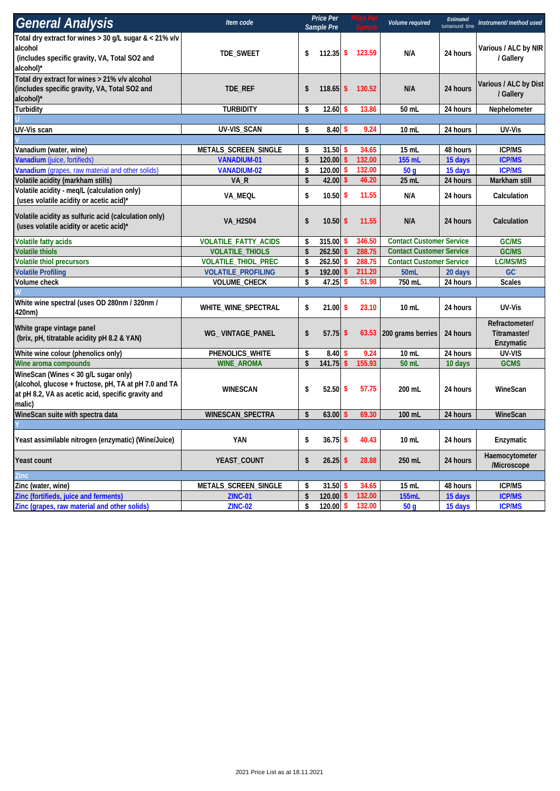| <b>General Analysis</b>                                                                                                                                       | Item code                                  |                        | Price Per<br>Sample Pre |                                 | 'rıce Peı       | Volume required                 | <b>Estimated</b><br>turnaround time | Instrument/ method used                     |  |
|---------------------------------------------------------------------------------------------------------------------------------------------------------------|--------------------------------------------|------------------------|-------------------------|---------------------------------|-----------------|---------------------------------|-------------------------------------|---------------------------------------------|--|
| Total dry extract for wines $> 30$ g/L sugar & $< 21\%$ v/v<br>alcohol<br>(includes specific gravity, VA, Total SO2 and<br>alcohol)*                          | TDE_SWEET                                  | \$                     | $112.35$ \$             |                                 | 123.59          | N/A                             | 24 hours                            | Various / ALC by NIR<br>/ Gallery           |  |
| Total dry extract for wines > 21% v/v alcohol<br>(includes specific gravity, VA, Total SO2 and<br>alcohol)*                                                   | TDE_REF                                    | \$                     | $118.65$ \$             |                                 | 130.52          | N/A                             | 24 hours                            | Various / ALC by Dist<br>/ Gallery          |  |
| Turbidity                                                                                                                                                     | <b>TURBIDITY</b>                           | \$                     | $12.60$ \$              | 13.86                           |                 | 50 mL                           | 24 hours                            | Nephelometer                                |  |
|                                                                                                                                                               |                                            |                        |                         |                                 |                 |                                 |                                     |                                             |  |
| UV-Vis scan                                                                                                                                                   | UV-VIS_SCAN                                | \$                     | $8.40\%$                |                                 | 9.24            | 10 mL                           | 24 hours                            | UV-Vis                                      |  |
|                                                                                                                                                               |                                            |                        | $31.50$ \$              |                                 |                 |                                 |                                     |                                             |  |
| Vanadium (water, wine)<br>Vanadium (juice, fortifieds)                                                                                                        | METALS_SCREEN_SINGLE<br><b>VANADIUM-01</b> | \$<br>\$               | 120.00                  | $\mathbf{\hat{S}}$              | 34.65<br>132.00 | 15 mL<br>155 mL                 | 48 hours<br>15 days                 | <b>ICP/MS</b><br><b>ICP/MS</b>              |  |
| Vanadium (grapes, raw material and other solids)                                                                                                              | <b>VANADIUM-02</b>                         | \$                     | 120.00                  | -S                              | 132.00          | 50 <sub>g</sub>                 | 15 days                             | <b>ICP/MS</b>                               |  |
| Volatile acidity (markham stills)                                                                                                                             | VA_R                                       | \$                     | 42.00                   | $\sqrt{2}$                      | 46.20           | 25 mL                           | 24 hours                            | Markham still                               |  |
| Volatile acidity - meq/L (calculation only)<br>(uses volatile acidity or acetic acid)*                                                                        | VA_MEQL                                    | \$                     | $10.50$ \$              |                                 | 11.55           | N/A                             | 24 hours                            | Calculation                                 |  |
| Volatile acidity as sulfuric acid (calculation only)<br>(uses volatile acidity or acetic acid)*                                                               | <b>VA_H2S04</b>                            | \$                     | $10.50$ \$              |                                 | 11.55           | N/A                             | 24 hours                            | Calculation                                 |  |
| <b>Volatile fatty acids</b>                                                                                                                                   | <b>VOLATILE_FATTY_ACIDS</b>                | 346.50<br>315.00<br>\$ |                         | <b>Contact Customer Service</b> |                 | <b>GC/MS</b>                    |                                     |                                             |  |
| <b>Volatile thiols</b>                                                                                                                                        | <b>VOLATILE_THIOLS</b>                     | \$                     | 262.50                  | \$                              | 288.75          | <b>Contact Customer Service</b> |                                     | GC/MS                                       |  |
| <b>Volatile thiol precursors</b>                                                                                                                              | <b>VOLATILE_THIOL_PREC</b>                 | \$                     | 262.50                  | \$                              | 288.75          | <b>Contact Customer Service</b> |                                     | LC/MS/MS                                    |  |
| <b>Volatile Profiling</b>                                                                                                                                     | <b>VOLATILE_PROFILING</b>                  | \$                     | 192.00                  | \$                              | 211.20          | 50mL                            | 20 days                             | GC                                          |  |
| Volume check                                                                                                                                                  | VOLUME_CHECK                               | \$                     | 47.25                   | $\sqrt{2}$                      | 51.98           | 750 mL                          | 24 hours                            | <b>Scales</b>                               |  |
|                                                                                                                                                               |                                            |                        |                         |                                 |                 |                                 |                                     |                                             |  |
| White wine spectral (uses OD 280nm / 320nm /<br>420nm)                                                                                                        | WHITE_WINE_SPECTRAL                        | \$                     | $21.00$ \$              |                                 | 23.10           | $10$ mL                         | 24 hours                            | UV-Vis                                      |  |
| White grape vintage panel<br>(brix, pH, titratable acidity pH 8.2 & YAN)                                                                                      | WG_VINTAGE_PANEL                           | \$                     | $57.75$ \$              |                                 |                 | 63.53 200 grams berries         | 24 hours                            | Refractometer/<br>Titramaster/<br>Enzymatic |  |
| White wine colour (phenolics only)                                                                                                                            | PHENOLICS_WHITE                            | \$                     | 8.40                    | \$                              | 9.24            | 10 mL                           | 24 hours                            | UV-VIS                                      |  |
| Wine aroma compounds                                                                                                                                          | <b>WINE_AROMA</b>                          | \$                     | 141.75                  | $\sqrt{2}$                      | 155.93          | 50 mL                           | 10 days                             | <b>GCMS</b>                                 |  |
| WineScan (Wines < 30 g/L sugar only)<br>(alcohol, glucose + fructose, pH, TA at pH 7.0 and TA<br>at pH 8.2, VA as acetic acid, specific gravity and<br>malic) | <b>WINESCAN</b>                            | \$                     | 52.50S                  |                                 | 57.75           | 200 mL                          | 24 hours                            | WineScan                                    |  |
| WineScan suite with spectra data                                                                                                                              | WINESCAN_SPECTRA                           | \$                     | $63.00$ \$              |                                 | 69.30           | 100 mL                          | 24 hours                            | WineScan                                    |  |
|                                                                                                                                                               |                                            |                        |                         |                                 |                 |                                 |                                     |                                             |  |
| Yeast assimilable nitrogen (enzymatic) (Wine/Juice)                                                                                                           | YAN                                        | \$                     | $36.75$ \$              |                                 | 40.43           | $10$ mL                         | 24 hours                            | Enzymatic                                   |  |
| Yeast count                                                                                                                                                   | YEAST_COUNT                                | \$                     | $26.25$ \$              |                                 | 28.88           | 250 mL                          | 24 hours                            | Haemocytometer<br>/Microscope               |  |
| Zinc                                                                                                                                                          |                                            |                        |                         |                                 |                 |                                 |                                     |                                             |  |
| Zinc (water, wine)                                                                                                                                            | METALS_SCREEN_SINGLE                       | \$                     | $31.50$ \$              |                                 | 34.65           | 15 mL                           | 48 hours                            | <b>ICP/MS</b>                               |  |
| Zinc (fortifieds, juice and ferments)                                                                                                                         | <b>ZINC-01</b>                             | \$                     | $120.00$ \$             |                                 | 132.00          | <b>155mL</b>                    | 15 days                             | <b>ICP/MS</b>                               |  |
| Zinc (grapes, raw material and other solids)                                                                                                                  | <b>ZINC-02</b>                             | \$                     | 120.00 \$               |                                 | 132.00          | 50 <sub>g</sub>                 | 15 days                             | <b>ICP/MS</b>                               |  |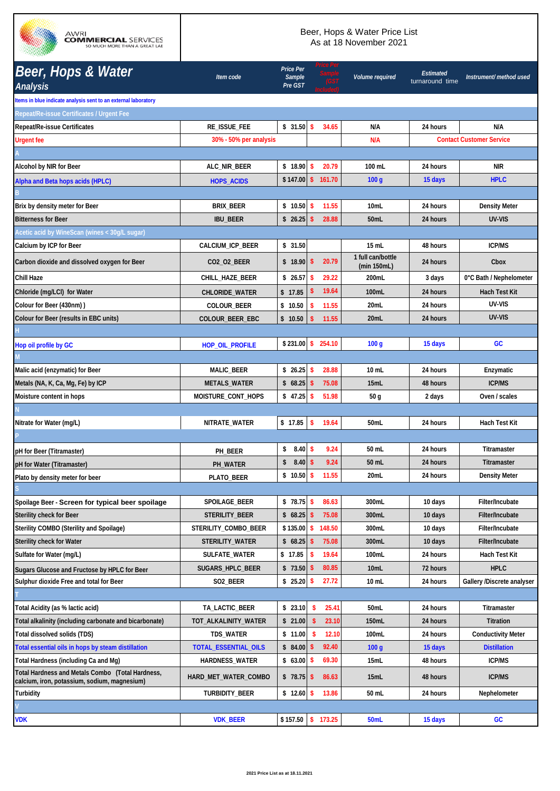

## Beer, Hops & Water Price List As at 18 November 2021

| <b>Beer, Hops &amp; Water</b><br><b>Analysis</b>                                                 | Item code              | Price Per<br>Sample<br>Pre GST |                        |       | Volume required                  | <b>Estimated</b><br>turnaround time | Instrument/ method used         |
|--------------------------------------------------------------------------------------------------|------------------------|--------------------------------|------------------------|-------|----------------------------------|-------------------------------------|---------------------------------|
| Items in blue indicate analysis sent to an external laboratory                                   |                        |                                |                        |       |                                  |                                     |                                 |
| Repeat/Re-issue Certificates / Urgent Fee                                                        |                        |                                |                        |       |                                  |                                     |                                 |
| <b>Repeat/Re-issue Certificates</b>                                                              | <b>RE_ISSUE_FEE</b>    | $$31.50$ \$                    | 34.65                  |       | N/A                              | 24 hours                            | N/A                             |
| <b>Urgent fee</b>                                                                                | 30% - 50% per analysis |                                |                        |       | N/A                              |                                     | <b>Contact Customer Service</b> |
|                                                                                                  |                        |                                |                        |       |                                  |                                     |                                 |
| Alcohol by NIR for Beer                                                                          | ALC_NIR_BEER           | \$18.90                        | $\mathsf{\$}$<br>20.79 |       | 100 mL                           | 24 hours                            | <b>NIR</b>                      |
| Alpha and Beta hops acids (HPLC)                                                                 | <b>HOPS_ACIDS</b>      | $$147.00$ \$                   | 161.70                 |       | 100q                             | 15 days                             | <b>HPLC</b>                     |
|                                                                                                  |                        |                                |                        |       |                                  |                                     |                                 |
| Brix by density meter for Beer                                                                   | <b>BRIX_BEER</b>       | $$10.50$ \$                    | 11.55                  |       | 10mL                             | 24 hours                            | <b>Density Meter</b>            |
| <b>Bitterness for Beer</b>                                                                       | <b>IBU_BEER</b>        | $$26.25$ \\$                   | 28.88                  |       | 50 <sub>m</sub> L                | 24 hours                            | UV-VIS                          |
| Acetic acid by WineScan (wines < 30g/L sugar)                                                    |                        |                                |                        |       |                                  |                                     |                                 |
| Calcium by ICP for Beer                                                                          | CALCIUM_ICP_BEER       | \$31.50                        |                        |       | 15 mL                            | 48 hours                            | <b>ICP/MS</b>                   |
| Carbon dioxide and dissolved oxygen for Beer                                                     | CO2_O2_BEER            | \$18.90                        | \$<br>20.79            |       | 1 full can/bottle<br>(min 150mL) | 24 hours                            | Cbox                            |
| Chill Haze                                                                                       | CHILL_HAZE_BEER        | \$26.57                        | 29.22<br>-\$           |       | 200mL                            | 3 days                              | 0°C Bath / Nephelometer         |
| Chloride (mg/LCI) for Water                                                                      | <b>CHLORIDE_WATER</b>  | \$17.85                        | 19.64                  |       | 100mL                            | 24 hours                            | Hach Test Kit                   |
| Colour for Beer (430nm))                                                                         | COLOUR_BEER            | \$10.50                        | \$<br>11.55            |       | 20mL                             | 24 hours                            | UV-VIS                          |
| Colour for Beer (results in EBC units)                                                           | COLOUR_BEER_EBC        | \$10.50                        | 11.55<br>Ŝ.            |       | 20mL                             | 24 hours                            | UV-VIS                          |
|                                                                                                  |                        |                                |                        |       |                                  |                                     |                                 |
| Hop oil profile by GC                                                                            | <b>HOP_OIL_PROFILE</b> | $$231.00$ \$                   | 254.10                 |       | 100 g                            | 15 days                             | GC                              |
|                                                                                                  |                        |                                |                        |       |                                  |                                     |                                 |
| Malic acid (enzymatic) for Beer                                                                  | MALIC_BEER             | \$26.25                        | 28.88<br>\$            |       | $10 \mathrm{m}$                  | 24 hours                            | Enzymatic                       |
| Metals (NA, K, Ca, Mg, Fe) by ICP                                                                | METALS_WATER           | $$68.25$ \$                    | 75.08                  |       | 15mL                             | 48 hours                            | <b>ICP/MS</b>                   |
| Moisture content in hops                                                                         | MOISTURE_CONT_HOPS     | \$47.25                        | \$<br>51.98            |       | 50 <sub>g</sub>                  | 2 days                              | Oven / scales                   |
|                                                                                                  |                        |                                |                        |       |                                  |                                     |                                 |
| Nitrate for Water (mg/L)                                                                         | NITRATE_WATER          | \$17.85                        | \$<br>19.64            |       | 50 <sub>mL</sub>                 | 24 hours                            | Hach Test Kit                   |
|                                                                                                  |                        |                                |                        |       |                                  |                                     |                                 |
| pH for Beer (Titramaster)                                                                        | PH BEER                | 8.40<br>\$                     | -\$<br>9.24            |       | 50 mL                            | 24 hours                            | Titramaster                     |
| pH for Water (Titramaster)                                                                       | PH_WATER               | $8.40 \,$ \$<br>\$             | 9.24                   |       | 50 mL                            | 24 hours                            | Titramaster                     |
| Plato by density meter for beer                                                                  | PLATO_BEER             | $$10.50$ \$                    | 11.55                  |       | 20mL                             | 24 hours                            | Density Meter                   |
|                                                                                                  |                        |                                |                        |       |                                  |                                     |                                 |
| Spoilage Beer - Screen for typical beer spoilage                                                 | SPOILAGE_BEER          | $$78.75$ \$                    | 86.63                  |       | 300mL                            | 10 days                             | Filter/Incubate                 |
| <b>Sterility check for Beer</b>                                                                  | STERILITY_BEER         | $$68.25$ \$                    | 75.08                  |       | 300mL                            | 10 days                             | Filter/Incubate                 |
| Sterility COMBO (Sterility and Spoilage)                                                         | STERILITY COMBO BEER   | $$135.00$ \$                   | 148.50                 |       | 300mL                            | 10 days                             | Filter/Incubate                 |
| <b>Sterility check for Water</b>                                                                 | STERILITY_WATER        | \$68.25                        | 75.08                  |       | 300mL                            | 10 days                             | Filter/Incubate                 |
| Sulfate for Water (mg/L)                                                                         | SULFATE_WATER          | \$17.85                        | \$<br>19.64            |       | 100mL                            | 24 hours                            | Hach Test Kit                   |
| Sugars Glucose and Fructose by HPLC for Beer                                                     | SUGARS_HPLC_BEER       | \$73.50                        | 80.85<br>$\sqrt[6]{3}$ |       | 10mL                             | 72 hours                            | <b>HPLC</b>                     |
| Sulphur dioxide Free and total for Beer                                                          | SO2_BEER               | \$25.20                        | \$<br>27.72            |       | $10$ mL                          | 24 hours                            | Gallery /Discrete analyser      |
|                                                                                                  |                        |                                |                        |       |                                  |                                     |                                 |
| Total Acidity (as % lactic acid)                                                                 | TA_LACTIC_BEER         | \$23.10                        | -\$                    | 25.41 | 50mL                             | 24 hours                            | Titramaster                     |
| Total alkalinity (including carbonate and bicarbonate)                                           | TOT_ALKALINITY_WATER   | \$21.00                        | $\sqrt{2}$             | 23.10 | 150mL                            | 24 hours                            | Titration                       |
| Total dissolved solids (TDS)                                                                     | <b>TDS_WATER</b>       | \$11.00                        | $\sqrt{2}$             | 12.10 | 100mL                            | 24 hours                            | <b>Conductivity Meter</b>       |
| Total essential oils in hops by steam distillation                                               | TOTAL_ESSENTIAL_OILS   | \$84.00                        | 92.40<br>\$            |       | 100 <sub>g</sub>                 | 15 days                             | <b>Distillation</b>             |
| Total Hardness (including Ca and Mg)                                                             | <b>HARDNESS_WATER</b>  | $$63.00$ \$                    | 69.30                  |       | 15mL                             | 48 hours                            | <b>ICP/MS</b>                   |
| Total Hardness and Metals Combo (Total Hardness,<br>calcium, iron, potassium, sodium, magnesium) | HARD_MET_WATER_COMBO   | $$78.75$ \$                    | 86.63                  |       | 15mL                             | 48 hours                            | <b>ICP/MS</b>                   |
| Turbidity                                                                                        | TURBIDITY_BEER         | \$12.60                        | $\mathbf{s}$<br>13.86  |       | 50 mL                            | 24 hours                            | Nephelometer                    |
|                                                                                                  |                        |                                |                        |       |                                  |                                     |                                 |
| <b>VDK</b>                                                                                       | <b>VDK_BEER</b>        | \$157.50                       | \$ 173.25              |       | 50mL                             | 15 days                             | GC                              |
|                                                                                                  |                        |                                |                        |       |                                  |                                     |                                 |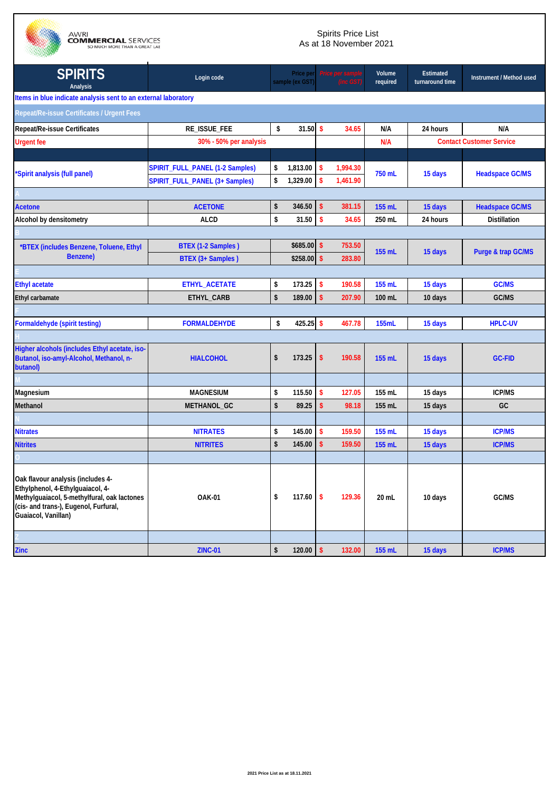

AWRI<br>**COMMERCIAL** SERVICES<br>SO MUCH MORE THAN A GREAT LAE

## Spirits Price List As at 18 November 2021

| <b>SPIRITS</b><br>Analysis                                                                                                                                                           | Login code                      | Price per<br>sample (ex GST) |                    |          | Volume<br>required | <b>Estimated</b><br>turnaround time | Instrument / Method used        |
|--------------------------------------------------------------------------------------------------------------------------------------------------------------------------------------|---------------------------------|------------------------------|--------------------|----------|--------------------|-------------------------------------|---------------------------------|
| Items in blue indicate analysis sent to an external laboratory                                                                                                                       |                                 |                              |                    |          |                    |                                     |                                 |
| Repeat/Re-issue Certificates / Urgent Fees                                                                                                                                           |                                 |                              |                    |          |                    |                                     |                                 |
| <b>Repeat/Re-issue Certificates</b>                                                                                                                                                  | RE_ISSUE_FEE                    | \$<br>$31.50$ \$             |                    | 34.65    | N/A                | 24 hours                            | N/A                             |
| <b>Urgent fee</b>                                                                                                                                                                    | 30% - 50% per analysis          |                              |                    |          | N/A                |                                     | <b>Contact Customer Service</b> |
|                                                                                                                                                                                      |                                 |                              |                    |          |                    |                                     |                                 |
| *Spirit analysis (full panel)                                                                                                                                                        | SPIRIT_FULL_PANEL (1-2 Samples) | \$<br>1,813.00               | $\mathbf{s}$       | 1,994.30 | 750 mL             | 15 days                             | <b>Headspace GC/MS</b>          |
|                                                                                                                                                                                      | SPIRIT_FULL_PANEL (3+ Samples)  | \$<br>1,329.00               | $\mathbf{\hat{s}}$ | 1,461.90 |                    |                                     |                                 |
|                                                                                                                                                                                      |                                 |                              |                    |          |                    |                                     |                                 |
| <b>Acetone</b>                                                                                                                                                                       | <b>ACETONE</b>                  | \$<br>346.50                 | $\sqrt{2}$         | 381.15   | 155 mL             | 15 days                             | <b>Headspace GC/MS</b>          |
| Alcohol by densitometry                                                                                                                                                              | <b>ALCD</b>                     | \$<br>31.50                  | $\mathbf{\hat{s}}$ | 34.65    | 250 mL             | 24 hours                            | <b>Distillation</b>             |
|                                                                                                                                                                                      |                                 |                              |                    |          |                    |                                     |                                 |
| *BTEX (includes Benzene, Toluene, Ethyl                                                                                                                                              | BTEX (1-2 Samples)              | $$685.00$ \$                 |                    | 753.50   | 155 mL             | 15 days                             | <b>Purge &amp; trap GC/MS</b>   |
| <b>Benzene)</b>                                                                                                                                                                      | BTEX (3+ Samples)               | $$258.00$ \$                 |                    | 283.80   |                    |                                     |                                 |
|                                                                                                                                                                                      |                                 |                              |                    |          |                    |                                     |                                 |
| <b>Ethyl acetate</b>                                                                                                                                                                 | ETHYL_ACETATE                   | \$<br>173.25                 | $\sqrt{2}$         | 190.58   | 155 mL             | 15 days                             | <b>GC/MS</b>                    |
| Ethyl carbamate                                                                                                                                                                      | ETHYL_CARB                      | \$<br>189.00                 | $\mathsf{\$}$      | 207.90   | 100 mL             | 10 days                             | GC/MS                           |
|                                                                                                                                                                                      |                                 |                              |                    |          |                    |                                     |                                 |
| Formaldehyde (spirit testing)                                                                                                                                                        | <b>FORMALDEHYDE</b>             | \$<br>425.25 \$              |                    | 467.78   | 155mL              | 15 days                             | <b>HPLC-UV</b>                  |
|                                                                                                                                                                                      |                                 |                              |                    |          |                    |                                     |                                 |
| Higher alcohols (includes Ethyl acetate, iso-<br>Butanol, iso-amyl-Alcohol, Methanol, n-<br>butanol)                                                                                 | <b>HIALCOHOL</b>                | \$<br>173.25                 | \$                 | 190.58   | 155 mL             | 15 days                             | <b>GC-FID</b>                   |
|                                                                                                                                                                                      |                                 |                              |                    |          |                    |                                     |                                 |
| Magnesium                                                                                                                                                                            | <b>MAGNESIUM</b>                | \$<br>115.50                 | S.                 | 127.05   | 155 mL             | 15 days                             | <b>ICP/MS</b>                   |
| Methanol                                                                                                                                                                             | METHANOL_GC                     | \$<br>89.25                  | $\sqrt{2}$         | 98.18    | 155 mL             | 15 days                             | GC                              |
|                                                                                                                                                                                      |                                 |                              |                    |          |                    |                                     |                                 |
| <b>Nitrates</b>                                                                                                                                                                      | <b>NITRATES</b>                 | \$<br>145.00                 | \$                 | 159.50   | 155 mL             | 15 days                             | <b>ICP/MS</b>                   |
| <b>Nitrites</b>                                                                                                                                                                      | <b>NITRITES</b>                 | \$<br>145.00                 | $\mathsf{\$}$      | 159.50   | 155 mL             | 15 days                             | <b>ICP/MS</b>                   |
|                                                                                                                                                                                      |                                 |                              |                    |          |                    |                                     |                                 |
| Oak flavour analysis (includes 4-<br>Ethylphenol, 4-Ethylguaiacol, 4-<br>Methylguaiacol, 5-methylfural, oak lactones<br>(cis- and trans-), Eugenol, Furfural,<br>Guaiacol, Vanillan) | <b>OAK-01</b>                   | \$<br>117.60                 | -\$                | 129.36   | 20 mL              | 10 days                             | GC/MS                           |
|                                                                                                                                                                                      |                                 |                              |                    |          |                    |                                     |                                 |
| Zinc                                                                                                                                                                                 | <b>ZINC-01</b>                  | \$<br>$120.00$ \$            |                    | 132.00   | 155 mL             | 15 days                             | <b>ICP/MS</b>                   |